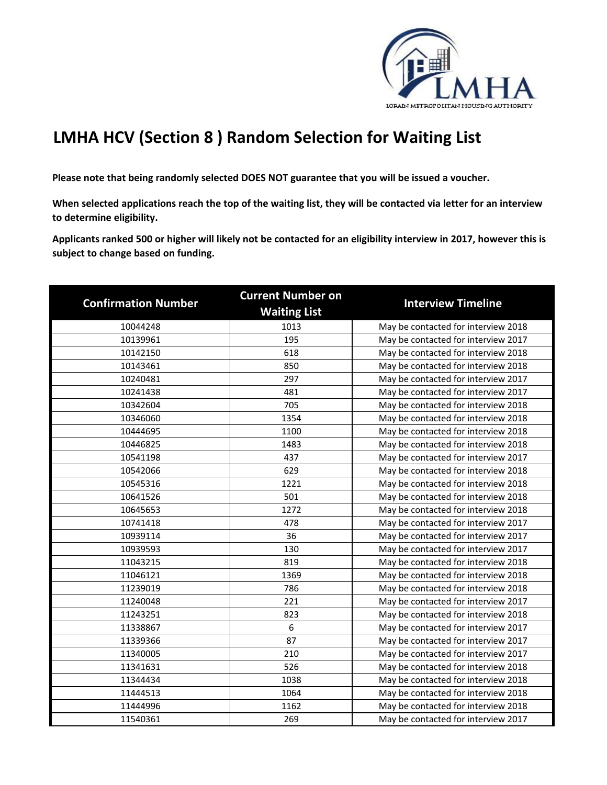

## **LMHA HCV (Section 8 ) Random Selection for Waiting List**

**Please note that being randomly selected DOES NOT guarantee that you will be issued a voucher.** 

**When selected applications reach the top of the waiting list, they will be contacted via letter for an interview to determine eligibility.**

**Applicants ranked 500 or higher will likely not be contacted for an eligibility interview in 2017, however this is subject to change based on funding.**

| <b>Confirmation Number</b> | <b>Current Number on</b><br><b>Waiting List</b> | <b>Interview Timeline</b>           |
|----------------------------|-------------------------------------------------|-------------------------------------|
| 10044248                   | 1013                                            | May be contacted for interview 2018 |
| 10139961                   | 195                                             | May be contacted for interview 2017 |
| 10142150                   | 618                                             | May be contacted for interview 2018 |
| 10143461                   | 850                                             | May be contacted for interview 2018 |
| 10240481                   | 297                                             | May be contacted for interview 2017 |
| 10241438                   | 481                                             | May be contacted for interview 2017 |
| 10342604                   | 705                                             | May be contacted for interview 2018 |
| 10346060                   | 1354                                            | May be contacted for interview 2018 |
| 10444695                   | 1100                                            | May be contacted for interview 2018 |
| 10446825                   | 1483                                            | May be contacted for interview 2018 |
| 10541198                   | 437                                             | May be contacted for interview 2017 |
| 10542066                   | 629                                             | May be contacted for interview 2018 |
| 10545316                   | 1221                                            | May be contacted for interview 2018 |
| 10641526                   | 501                                             | May be contacted for interview 2018 |
| 10645653                   | 1272                                            | May be contacted for interview 2018 |
| 10741418                   | 478                                             | May be contacted for interview 2017 |
| 10939114                   | 36                                              | May be contacted for interview 2017 |
| 10939593                   | 130                                             | May be contacted for interview 2017 |
| 11043215                   | 819                                             | May be contacted for interview 2018 |
| 11046121                   | 1369                                            | May be contacted for interview 2018 |
| 11239019                   | 786                                             | May be contacted for interview 2018 |
| 11240048                   | 221                                             | May be contacted for interview 2017 |
| 11243251                   | 823                                             | May be contacted for interview 2018 |
| 11338867                   | 6                                               | May be contacted for interview 2017 |
| 11339366                   | 87                                              | May be contacted for interview 2017 |
| 11340005                   | 210                                             | May be contacted for interview 2017 |
| 11341631                   | 526                                             | May be contacted for interview 2018 |
| 11344434                   | 1038                                            | May be contacted for interview 2018 |
| 11444513                   | 1064                                            | May be contacted for interview 2018 |
| 11444996                   | 1162                                            | May be contacted for interview 2018 |
| 11540361                   | 269                                             | May be contacted for interview 2017 |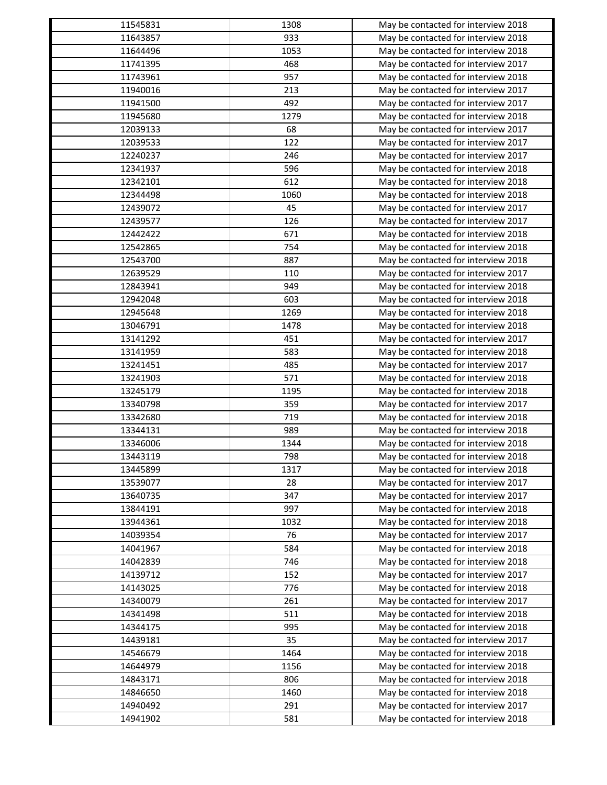| 11545831             | 1308       | May be contacted for interview 2018                                        |
|----------------------|------------|----------------------------------------------------------------------------|
| 11643857             | 933        | May be contacted for interview 2018                                        |
| 11644496             | 1053       | May be contacted for interview 2018                                        |
| 11741395             | 468        | May be contacted for interview 2017                                        |
| 11743961             | 957        | May be contacted for interview 2018                                        |
| 11940016             | 213        | May be contacted for interview 2017                                        |
| 11941500             | 492        | May be contacted for interview 2017                                        |
| 11945680             | 1279       | May be contacted for interview 2018                                        |
| 12039133             | 68         | May be contacted for interview 2017                                        |
| 12039533             | 122        | May be contacted for interview 2017                                        |
| 12240237             | 246        | May be contacted for interview 2017                                        |
| 12341937             | 596        | May be contacted for interview 2018                                        |
| 12342101             | 612        | May be contacted for interview 2018                                        |
| 12344498             | 1060       | May be contacted for interview 2018                                        |
| 12439072             | 45         | May be contacted for interview 2017                                        |
| 12439577             | 126        | May be contacted for interview 2017                                        |
| 12442422             | 671        | May be contacted for interview 2018                                        |
| 12542865             | 754        | May be contacted for interview 2018                                        |
| 12543700             | 887        | May be contacted for interview 2018                                        |
| 12639529             | 110        | May be contacted for interview 2017                                        |
| 12843941             | 949        | May be contacted for interview 2018                                        |
| 12942048             | 603        | May be contacted for interview 2018                                        |
| 12945648             | 1269       | May be contacted for interview 2018                                        |
| 13046791             | 1478       | May be contacted for interview 2018                                        |
| 13141292             | 451        | May be contacted for interview 2017                                        |
| 13141959             | 583        | May be contacted for interview 2018                                        |
| 13241451             | 485        | May be contacted for interview 2017                                        |
| 13241903             | 571        | May be contacted for interview 2018                                        |
| 13245179             | 1195       | May be contacted for interview 2018                                        |
| 13340798             | 359        | May be contacted for interview 2017                                        |
| 13342680             | 719        | May be contacted for interview 2018                                        |
| 13344131             | 989        | May be contacted for interview 2018                                        |
| 13346006             | 1344       | May be contacted for interview 2018                                        |
| 13443119             | 798        | May be contacted for interview 2018                                        |
| 13445899             | 1317       | May be contacted for interview 2018                                        |
| 13539077             | 28         | May be contacted for interview 2017                                        |
| 13640735             | 347        |                                                                            |
|                      | 997        | May be contacted for interview 2017<br>May be contacted for interview 2018 |
| 13844191             |            |                                                                            |
| 13944361             | 1032<br>76 | May be contacted for interview 2018                                        |
| 14039354             |            | May be contacted for interview 2017                                        |
| 14041967<br>14042839 | 584        | May be contacted for interview 2018                                        |
|                      | 746        | May be contacted for interview 2018                                        |
| 14139712             | 152        | May be contacted for interview 2017                                        |
| 14143025             | 776        | May be contacted for interview 2018                                        |
| 14340079             | 261        | May be contacted for interview 2017                                        |
| 14341498             | 511        | May be contacted for interview 2018                                        |
| 14344175             | 995        | May be contacted for interview 2018                                        |
| 14439181             | 35         | May be contacted for interview 2017                                        |
| 14546679             | 1464       | May be contacted for interview 2018                                        |
| 14644979             | 1156       | May be contacted for interview 2018                                        |
| 14843171             | 806        | May be contacted for interview 2018                                        |
| 14846650             | 1460       | May be contacted for interview 2018                                        |
| 14940492             | 291        | May be contacted for interview 2017                                        |
| 14941902             | 581        | May be contacted for interview 2018                                        |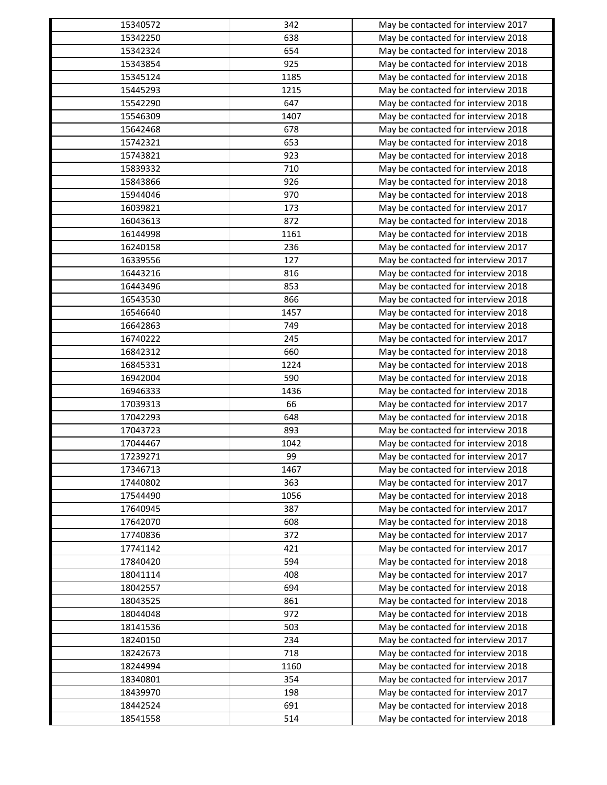| 15340572 | 342  | May be contacted for interview 2017                                        |
|----------|------|----------------------------------------------------------------------------|
| 15342250 | 638  | May be contacted for interview 2018                                        |
| 15342324 | 654  | May be contacted for interview 2018                                        |
| 15343854 | 925  | May be contacted for interview 2018                                        |
| 15345124 | 1185 | May be contacted for interview 2018                                        |
| 15445293 | 1215 | May be contacted for interview 2018                                        |
| 15542290 | 647  | May be contacted for interview 2018                                        |
| 15546309 | 1407 | May be contacted for interview 2018                                        |
| 15642468 | 678  | May be contacted for interview 2018                                        |
| 15742321 | 653  | May be contacted for interview 2018                                        |
| 15743821 | 923  | May be contacted for interview 2018                                        |
| 15839332 | 710  | May be contacted for interview 2018                                        |
| 15843866 | 926  | May be contacted for interview 2018                                        |
| 15944046 | 970  | May be contacted for interview 2018                                        |
| 16039821 | 173  | May be contacted for interview 2017                                        |
| 16043613 | 872  | May be contacted for interview 2018                                        |
| 16144998 | 1161 | May be contacted for interview 2018                                        |
| 16240158 | 236  | May be contacted for interview 2017                                        |
| 16339556 | 127  | May be contacted for interview 2017                                        |
| 16443216 | 816  | May be contacted for interview 2018                                        |
| 16443496 | 853  | May be contacted for interview 2018                                        |
| 16543530 | 866  | May be contacted for interview 2018                                        |
| 16546640 | 1457 | May be contacted for interview 2018                                        |
| 16642863 | 749  | May be contacted for interview 2018                                        |
| 16740222 | 245  | May be contacted for interview 2017                                        |
| 16842312 | 660  | May be contacted for interview 2018                                        |
| 16845331 | 1224 | May be contacted for interview 2018                                        |
| 16942004 | 590  | May be contacted for interview 2018                                        |
| 16946333 | 1436 | May be contacted for interview 2018                                        |
| 17039313 | 66   | May be contacted for interview 2017                                        |
| 17042293 | 648  | May be contacted for interview 2018                                        |
| 17043723 | 893  | May be contacted for interview 2018                                        |
| 17044467 | 1042 | May be contacted for interview 2018                                        |
| 17239271 | 99   | May be contacted for interview 2017                                        |
| 17346713 | 1467 | May be contacted for interview 2018                                        |
| 17440802 | 363  | May be contacted for interview 2017                                        |
| 17544490 | 1056 | May be contacted for interview 2018                                        |
| 17640945 | 387  | May be contacted for interview 2017                                        |
| 17642070 | 608  | May be contacted for interview 2018                                        |
| 17740836 | 372  | May be contacted for interview 2017                                        |
| 17741142 | 421  |                                                                            |
| 17840420 | 594  | May be contacted for interview 2017<br>May be contacted for interview 2018 |
|          |      |                                                                            |
| 18041114 | 408  | May be contacted for interview 2017                                        |
| 18042557 | 694  | May be contacted for interview 2018                                        |
| 18043525 | 861  | May be contacted for interview 2018                                        |
| 18044048 | 972  | May be contacted for interview 2018                                        |
| 18141536 | 503  | May be contacted for interview 2018                                        |
| 18240150 | 234  | May be contacted for interview 2017                                        |
| 18242673 | 718  | May be contacted for interview 2018                                        |
| 18244994 | 1160 | May be contacted for interview 2018                                        |
| 18340801 | 354  | May be contacted for interview 2017                                        |
| 18439970 | 198  | May be contacted for interview 2017                                        |
| 18442524 | 691  | May be contacted for interview 2018                                        |
| 18541558 | 514  | May be contacted for interview 2018                                        |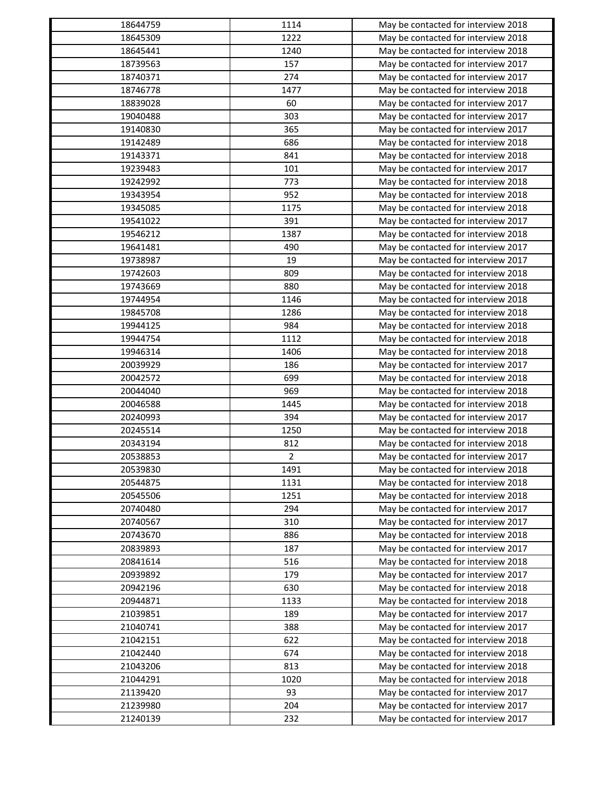| 18644759 | 1114                   | May be contacted for interview 2018                                        |
|----------|------------------------|----------------------------------------------------------------------------|
| 18645309 | 1222                   | May be contacted for interview 2018                                        |
| 18645441 | 1240                   | May be contacted for interview 2018                                        |
| 18739563 | 157                    | May be contacted for interview 2017                                        |
| 18740371 | 274                    | May be contacted for interview 2017                                        |
| 18746778 | 1477                   | May be contacted for interview 2018                                        |
| 18839028 | 60                     | May be contacted for interview 2017                                        |
| 19040488 | 303                    | May be contacted for interview 2017                                        |
| 19140830 | 365                    | May be contacted for interview 2017                                        |
| 19142489 | 686                    | May be contacted for interview 2018                                        |
| 19143371 | 841                    | May be contacted for interview 2018                                        |
| 19239483 | 101                    | May be contacted for interview 2017                                        |
| 19242992 | 773                    | May be contacted for interview 2018                                        |
| 19343954 | 952                    | May be contacted for interview 2018                                        |
| 19345085 | 1175                   | May be contacted for interview 2018                                        |
| 19541022 | 391                    | May be contacted for interview 2017                                        |
| 19546212 | 1387                   | May be contacted for interview 2018                                        |
| 19641481 | 490                    | May be contacted for interview 2017                                        |
| 19738987 | 19                     | May be contacted for interview 2017                                        |
| 19742603 | 809                    | May be contacted for interview 2018                                        |
| 19743669 | 880                    | May be contacted for interview 2018                                        |
| 19744954 | 1146                   | May be contacted for interview 2018                                        |
| 19845708 | 1286                   | May be contacted for interview 2018                                        |
| 19944125 | 984                    | May be contacted for interview 2018                                        |
| 19944754 | 1112                   | May be contacted for interview 2018                                        |
| 19946314 | 1406                   | May be contacted for interview 2018                                        |
| 20039929 | 186                    | May be contacted for interview 2017                                        |
| 20042572 | 699                    | May be contacted for interview 2018                                        |
| 20044040 | 969                    | May be contacted for interview 2018                                        |
| 20046588 | 1445                   | May be contacted for interview 2018                                        |
| 20240993 | 394                    | May be contacted for interview 2017                                        |
| 20245514 | 1250                   |                                                                            |
| 20343194 | 812                    | May be contacted for interview 2018<br>May be contacted for interview 2018 |
|          |                        |                                                                            |
| 20538853 | $\overline{2}$<br>1491 | May be contacted for interview 2017                                        |
| 20539830 |                        | May be contacted for interview 2018                                        |
| 20544875 | 1131                   | May be contacted for interview 2018                                        |
| 20545506 | 1251                   | May be contacted for interview 2018                                        |
| 20740480 | 294                    | May be contacted for interview 2017                                        |
| 20740567 | 310                    | May be contacted for interview 2017                                        |
| 20743670 | 886                    | May be contacted for interview 2018                                        |
| 20839893 | 187                    | May be contacted for interview 2017                                        |
| 20841614 | 516                    | May be contacted for interview 2018                                        |
| 20939892 | 179                    | May be contacted for interview 2017                                        |
| 20942196 | 630                    | May be contacted for interview 2018                                        |
| 20944871 | 1133                   | May be contacted for interview 2018                                        |
| 21039851 | 189                    | May be contacted for interview 2017                                        |
| 21040741 | 388                    | May be contacted for interview 2017                                        |
| 21042151 | 622                    | May be contacted for interview 2018                                        |
| 21042440 | 674                    | May be contacted for interview 2018                                        |
| 21043206 | 813                    | May be contacted for interview 2018                                        |
| 21044291 | 1020                   | May be contacted for interview 2018                                        |
| 21139420 | 93                     | May be contacted for interview 2017                                        |
| 21239980 | 204                    | May be contacted for interview 2017                                        |
| 21240139 | 232                    | May be contacted for interview 2017                                        |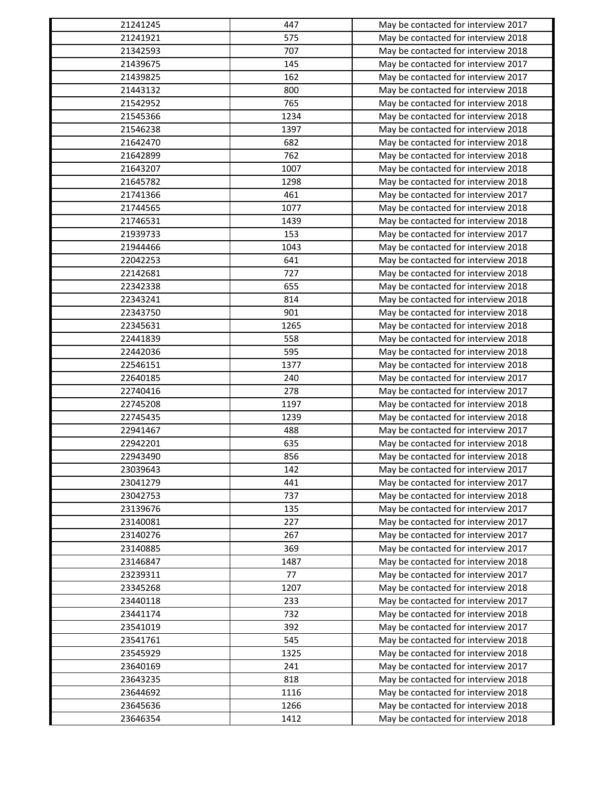| 21241245 | 447        | May be contacted for interview 2017 |
|----------|------------|-------------------------------------|
| 21241921 | 575        | May be contacted for interview 2018 |
| 21342593 | 707        | May be contacted for interview 2018 |
| 21439675 | 145        | May be contacted for interview 2017 |
| 21439825 | 162        | May be contacted for interview 2017 |
| 21443132 | 800        | May be contacted for interview 2018 |
| 21542952 | 765        | May be contacted for interview 2018 |
| 21545366 | 1234       | May be contacted for interview 2018 |
| 21546238 | 1397       | May be contacted for interview 2018 |
| 21642470 | 682        | May be contacted for interview 2018 |
| 21642899 | 762        | May be contacted for interview 2018 |
| 21643207 | 1007       | May be contacted for interview 2018 |
| 21645782 | 1298       | May be contacted for interview 2018 |
| 21741366 | 461        | May be contacted for interview 2017 |
| 21744565 | 1077       | May be contacted for interview 2018 |
| 21746531 | 1439       | May be contacted for interview 2018 |
| 21939733 | 153        | May be contacted for interview 2017 |
| 21944466 | 1043       | May be contacted for interview 2018 |
| 22042253 | 641        | May be contacted for interview 2018 |
| 22142681 | 727        | May be contacted for interview 2018 |
| 22342338 | 655        | May be contacted for interview 2018 |
| 22343241 | 814        | May be contacted for interview 2018 |
| 22343750 | 901        | May be contacted for interview 2018 |
| 22345631 | 1265       | May be contacted for interview 2018 |
| 22441839 | 558        | May be contacted for interview 2018 |
| 22442036 | 595        | May be contacted for interview 2018 |
| 22546151 | 1377       | May be contacted for interview 2018 |
| 22640185 | 240        | May be contacted for interview 2017 |
| 22740416 | 278        | May be contacted for interview 2017 |
| 22745208 | 1197       | May be contacted for interview 2018 |
| 22745435 | 1239       | May be contacted for interview 2018 |
| 22941467 | 488        | May be contacted for interview 2017 |
| 22942201 | 635        | May be contacted for interview 2018 |
| 22943490 |            |                                     |
|          | 856<br>142 | May be contacted for interview 2018 |
| 23039643 |            | May be contacted for interview 2017 |
| 23041279 | 441        | May be contacted for interview 2017 |
| 23042753 | 737        | May be contacted for interview 2018 |
| 23139676 | 135        | May be contacted for interview 2017 |
| 23140081 | 227        | May be contacted for interview 2017 |
| 23140276 | 267        | May be contacted for interview 2017 |
| 23140885 | 369        | May be contacted for interview 2017 |
| 23146847 | 1487       | May be contacted for interview 2018 |
| 23239311 | 77         | May be contacted for interview 2017 |
| 23345268 | 1207       | May be contacted for interview 2018 |
| 23440118 | 233        | May be contacted for interview 2017 |
| 23441174 | 732        | May be contacted for interview 2018 |
| 23541019 | 392        | May be contacted for interview 2017 |
| 23541761 | 545        | May be contacted for interview 2018 |
| 23545929 | 1325       | May be contacted for interview 2018 |
| 23640169 | 241        | May be contacted for interview 2017 |
| 23643235 | 818        | May be contacted for interview 2018 |
| 23644692 | 1116       | May be contacted for interview 2018 |
| 23645636 | 1266       | May be contacted for interview 2018 |
| 23646354 | 1412       | May be contacted for interview 2018 |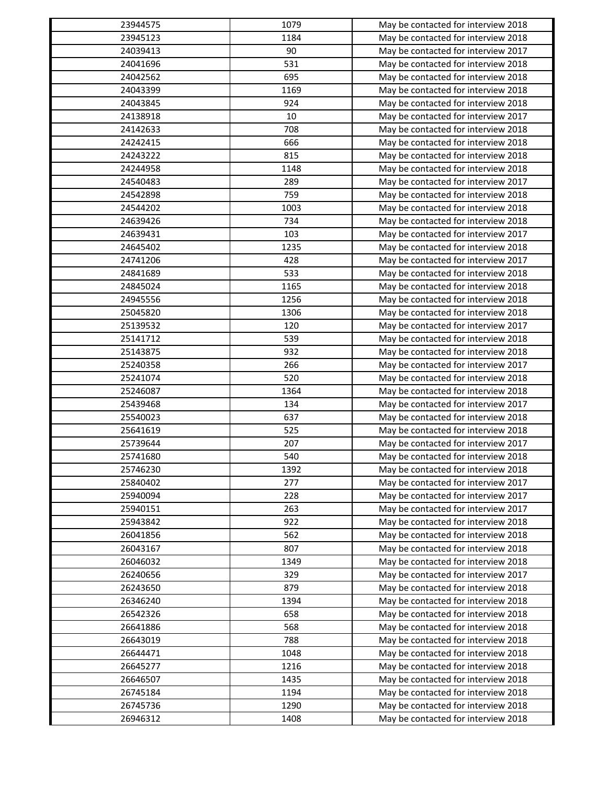| 23944575 | 1079 | May be contacted for interview 2018                                        |
|----------|------|----------------------------------------------------------------------------|
| 23945123 | 1184 | May be contacted for interview 2018                                        |
| 24039413 | 90   | May be contacted for interview 2017                                        |
| 24041696 | 531  | May be contacted for interview 2018                                        |
| 24042562 | 695  | May be contacted for interview 2018                                        |
| 24043399 | 1169 | May be contacted for interview 2018                                        |
| 24043845 | 924  | May be contacted for interview 2018                                        |
| 24138918 | 10   | May be contacted for interview 2017                                        |
| 24142633 | 708  | May be contacted for interview 2018                                        |
| 24242415 | 666  | May be contacted for interview 2018                                        |
| 24243222 | 815  | May be contacted for interview 2018                                        |
| 24244958 | 1148 | May be contacted for interview 2018                                        |
| 24540483 | 289  | May be contacted for interview 2017                                        |
| 24542898 | 759  | May be contacted for interview 2018                                        |
| 24544202 | 1003 | May be contacted for interview 2018                                        |
| 24639426 | 734  | May be contacted for interview 2018                                        |
| 24639431 | 103  | May be contacted for interview 2017                                        |
| 24645402 | 1235 | May be contacted for interview 2018                                        |
| 24741206 | 428  | May be contacted for interview 2017                                        |
| 24841689 | 533  | May be contacted for interview 2018                                        |
| 24845024 | 1165 | May be contacted for interview 2018                                        |
| 24945556 | 1256 | May be contacted for interview 2018                                        |
| 25045820 | 1306 | May be contacted for interview 2018                                        |
| 25139532 | 120  | May be contacted for interview 2017                                        |
| 25141712 | 539  | May be contacted for interview 2018                                        |
| 25143875 | 932  | May be contacted for interview 2018                                        |
| 25240358 | 266  | May be contacted for interview 2017                                        |
| 25241074 | 520  | May be contacted for interview 2018                                        |
| 25246087 | 1364 | May be contacted for interview 2018                                        |
| 25439468 | 134  | May be contacted for interview 2017                                        |
| 25540023 | 637  | May be contacted for interview 2018                                        |
| 25641619 | 525  |                                                                            |
| 25739644 | 207  | May be contacted for interview 2018<br>May be contacted for interview 2017 |
|          |      |                                                                            |
| 25741680 | 540  | May be contacted for interview 2018                                        |
| 25746230 | 1392 | May be contacted for interview 2018                                        |
| 25840402 | 277  | May be contacted for interview 2017                                        |
| 25940094 | 228  | May be contacted for interview 2017                                        |
| 25940151 | 263  | May be contacted for interview 2017                                        |
| 25943842 | 922  | May be contacted for interview 2018                                        |
| 26041856 | 562  | May be contacted for interview 2018                                        |
| 26043167 | 807  | May be contacted for interview 2018                                        |
| 26046032 | 1349 | May be contacted for interview 2018                                        |
| 26240656 | 329  | May be contacted for interview 2017                                        |
| 26243650 | 879  | May be contacted for interview 2018                                        |
| 26346240 | 1394 | May be contacted for interview 2018                                        |
| 26542326 | 658  | May be contacted for interview 2018                                        |
| 26641886 | 568  | May be contacted for interview 2018                                        |
| 26643019 | 788  | May be contacted for interview 2018                                        |
| 26644471 | 1048 | May be contacted for interview 2018                                        |
| 26645277 | 1216 | May be contacted for interview 2018                                        |
| 26646507 | 1435 | May be contacted for interview 2018                                        |
| 26745184 | 1194 | May be contacted for interview 2018                                        |
| 26745736 | 1290 | May be contacted for interview 2018                                        |
| 26946312 | 1408 | May be contacted for interview 2018                                        |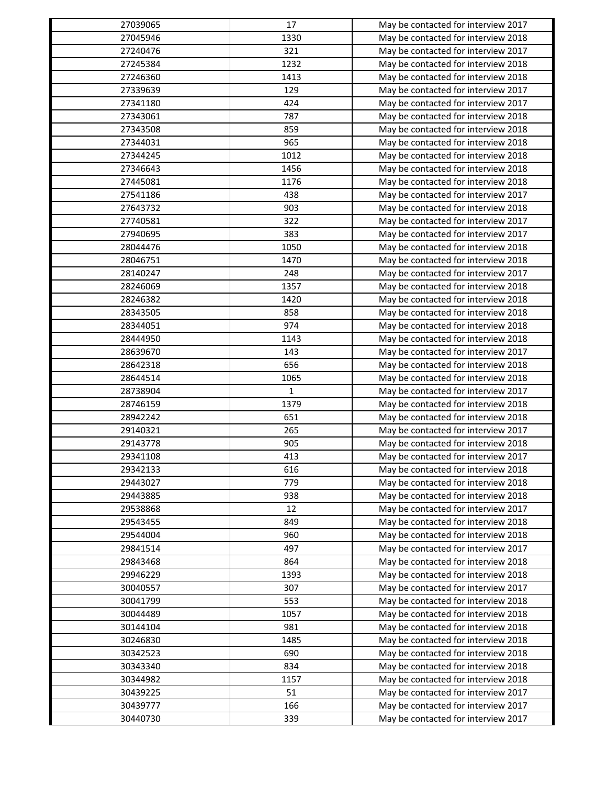| 27039065 | 17          | May be contacted for interview 2017                                        |
|----------|-------------|----------------------------------------------------------------------------|
| 27045946 | 1330        | May be contacted for interview 2018                                        |
| 27240476 | 321         | May be contacted for interview 2017                                        |
| 27245384 | 1232        | May be contacted for interview 2018                                        |
| 27246360 | 1413        | May be contacted for interview 2018                                        |
| 27339639 | 129         | May be contacted for interview 2017                                        |
| 27341180 | 424         | May be contacted for interview 2017                                        |
| 27343061 | 787         | May be contacted for interview 2018                                        |
| 27343508 | 859         | May be contacted for interview 2018                                        |
| 27344031 | 965         | May be contacted for interview 2018                                        |
| 27344245 | 1012        | May be contacted for interview 2018                                        |
| 27346643 | 1456        | May be contacted for interview 2018                                        |
| 27445081 | 1176        | May be contacted for interview 2018                                        |
| 27541186 | 438         | May be contacted for interview 2017                                        |
| 27643732 | 903         | May be contacted for interview 2018                                        |
| 27740581 | 322         | May be contacted for interview 2017                                        |
| 27940695 | 383         | May be contacted for interview 2017                                        |
| 28044476 | 1050        | May be contacted for interview 2018                                        |
| 28046751 | 1470        | May be contacted for interview 2018                                        |
| 28140247 | 248         | May be contacted for interview 2017                                        |
| 28246069 | 1357        | May be contacted for interview 2018                                        |
| 28246382 | 1420        | May be contacted for interview 2018                                        |
| 28343505 | 858         | May be contacted for interview 2018                                        |
| 28344051 | 974         | May be contacted for interview 2018                                        |
| 28444950 | 1143        | May be contacted for interview 2018                                        |
| 28639670 | 143         | May be contacted for interview 2017                                        |
| 28642318 | 656         | May be contacted for interview 2018                                        |
| 28644514 | 1065        | May be contacted for interview 2018                                        |
| 28738904 | $\mathbf 1$ | May be contacted for interview 2017                                        |
| 28746159 | 1379        | May be contacted for interview 2018                                        |
| 28942242 | 651         | May be contacted for interview 2018                                        |
| 29140321 | 265         | May be contacted for interview 2017                                        |
| 29143778 | 905         | May be contacted for interview 2018                                        |
| 29341108 | 413         | May be contacted for interview 2017                                        |
| 29342133 | 616         | May be contacted for interview 2018                                        |
| 29443027 | 779         | May be contacted for interview 2018                                        |
| 29443885 | 938         | May be contacted for interview 2018                                        |
| 29538868 | 12          | May be contacted for interview 2017                                        |
| 29543455 | 849         | May be contacted for interview 2018                                        |
| 29544004 | 960         | May be contacted for interview 2018                                        |
| 29841514 | 497         |                                                                            |
| 29843468 | 864         | May be contacted for interview 2017                                        |
|          |             | May be contacted for interview 2018                                        |
| 29946229 | 1393        | May be contacted for interview 2018<br>May be contacted for interview 2017 |
| 30040557 | 307         |                                                                            |
| 30041799 | 553         | May be contacted for interview 2018                                        |
| 30044489 | 1057        | May be contacted for interview 2018                                        |
| 30144104 | 981         | May be contacted for interview 2018                                        |
| 30246830 | 1485        | May be contacted for interview 2018                                        |
| 30342523 | 690         | May be contacted for interview 2018                                        |
| 30343340 | 834         | May be contacted for interview 2018                                        |
| 30344982 | 1157        | May be contacted for interview 2018                                        |
| 30439225 | 51          | May be contacted for interview 2017                                        |
| 30439777 | 166         | May be contacted for interview 2017                                        |
| 30440730 | 339         | May be contacted for interview 2017                                        |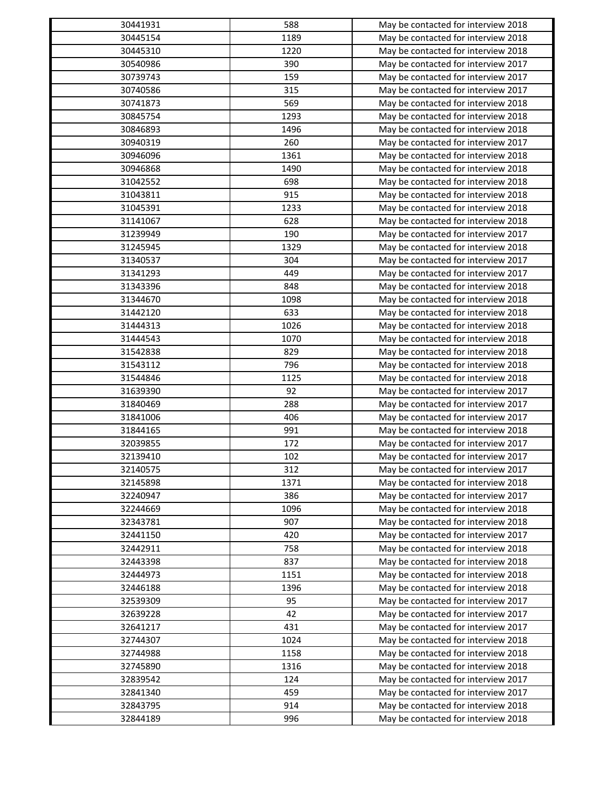| 30441931             | 588          | May be contacted for interview 2018 |
|----------------------|--------------|-------------------------------------|
| 30445154             | 1189         | May be contacted for interview 2018 |
| 30445310             | 1220         | May be contacted for interview 2018 |
| 30540986             | 390          | May be contacted for interview 2017 |
| 30739743             | 159          | May be contacted for interview 2017 |
| 30740586             | 315          | May be contacted for interview 2017 |
| 30741873             | 569          | May be contacted for interview 2018 |
| 30845754             | 1293         | May be contacted for interview 2018 |
| 30846893             | 1496         | May be contacted for interview 2018 |
| 30940319             | 260          | May be contacted for interview 2017 |
| 30946096             | 1361         | May be contacted for interview 2018 |
| 30946868             | 1490         | May be contacted for interview 2018 |
| 31042552             | 698          | May be contacted for interview 2018 |
| 31043811             | 915          | May be contacted for interview 2018 |
| 31045391             | 1233         | May be contacted for interview 2018 |
| 31141067             | 628          | May be contacted for interview 2018 |
| 31239949             | 190          | May be contacted for interview 2017 |
| 31245945             | 1329         | May be contacted for interview 2018 |
| 31340537             | 304          | May be contacted for interview 2017 |
| 31341293             | 449          | May be contacted for interview 2017 |
| 31343396             | 848          | May be contacted for interview 2018 |
| 31344670             | 1098         | May be contacted for interview 2018 |
| 31442120             | 633          | May be contacted for interview 2018 |
| 31444313             | 1026         | May be contacted for interview 2018 |
| 31444543             | 1070         | May be contacted for interview 2018 |
| 31542838             | 829          | May be contacted for interview 2018 |
| 31543112             | 796          | May be contacted for interview 2018 |
| 31544846             | 1125         | May be contacted for interview 2018 |
| 31639390             | 92           | May be contacted for interview 2017 |
| 31840469             | 288          | May be contacted for interview 2017 |
| 31841006             | 406          | May be contacted for interview 2017 |
| 31844165             | 991          | May be contacted for interview 2018 |
| 32039855             | 172          | May be contacted for interview 2017 |
| 32139410             | 102          | May be contacted for interview 2017 |
| 32140575             | 312          | May be contacted for interview 2017 |
| 32145898             | 1371         | May be contacted for interview 2018 |
| 32240947             | 386          | May be contacted for interview 2017 |
| 32244669             | 1096         | May be contacted for interview 2018 |
| 32343781             | 907          | May be contacted for interview 2018 |
| 32441150             | 420          | May be contacted for interview 2017 |
| 32442911             | 758          | May be contacted for interview 2018 |
| 32443398             | 837          | May be contacted for interview 2018 |
|                      |              |                                     |
| 32444973<br>32446188 | 1151<br>1396 | May be contacted for interview 2018 |
|                      |              | May be contacted for interview 2018 |
| 32539309             | 95           | May be contacted for interview 2017 |
| 32639228             | 42           | May be contacted for interview 2017 |
| 32641217             | 431          | May be contacted for interview 2017 |
| 32744307             | 1024         | May be contacted for interview 2018 |
| 32744988             | 1158         | May be contacted for interview 2018 |
| 32745890             | 1316         | May be contacted for interview 2018 |
| 32839542             | 124          | May be contacted for interview 2017 |
| 32841340             | 459          | May be contacted for interview 2017 |
| 32843795             | 914          | May be contacted for interview 2018 |
| 32844189             | 996          | May be contacted for interview 2018 |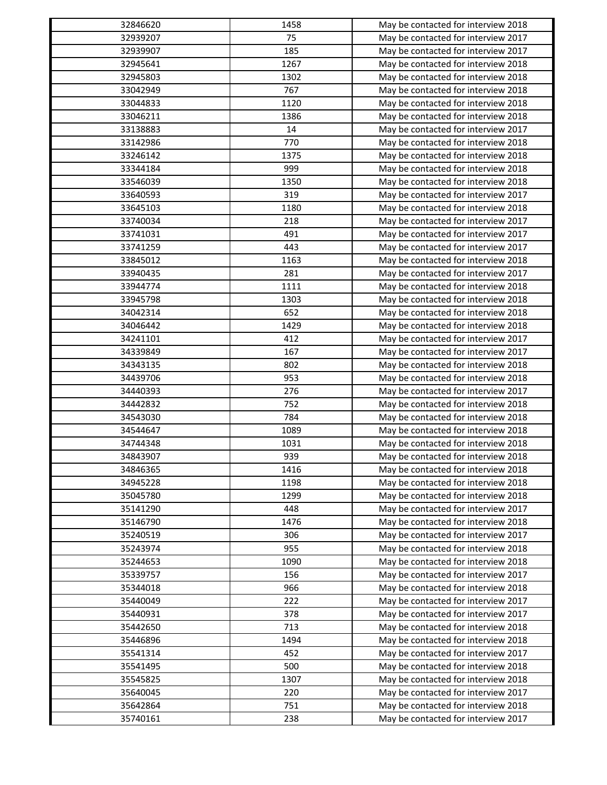| 32846620 | 1458 | May be contacted for interview 2018 |
|----------|------|-------------------------------------|
| 32939207 | 75   | May be contacted for interview 2017 |
| 32939907 | 185  | May be contacted for interview 2017 |
| 32945641 | 1267 | May be contacted for interview 2018 |
| 32945803 | 1302 | May be contacted for interview 2018 |
| 33042949 | 767  | May be contacted for interview 2018 |
| 33044833 | 1120 | May be contacted for interview 2018 |
| 33046211 | 1386 | May be contacted for interview 2018 |
| 33138883 | 14   | May be contacted for interview 2017 |
| 33142986 | 770  | May be contacted for interview 2018 |
| 33246142 | 1375 | May be contacted for interview 2018 |
| 33344184 | 999  | May be contacted for interview 2018 |
| 33546039 | 1350 | May be contacted for interview 2018 |
| 33640593 | 319  | May be contacted for interview 2017 |
| 33645103 | 1180 | May be contacted for interview 2018 |
| 33740034 | 218  | May be contacted for interview 2017 |
| 33741031 | 491  | May be contacted for interview 2017 |
| 33741259 | 443  | May be contacted for interview 2017 |
| 33845012 | 1163 | May be contacted for interview 2018 |
| 33940435 | 281  | May be contacted for interview 2017 |
| 33944774 | 1111 | May be contacted for interview 2018 |
| 33945798 | 1303 | May be contacted for interview 2018 |
| 34042314 | 652  | May be contacted for interview 2018 |
| 34046442 | 1429 | May be contacted for interview 2018 |
| 34241101 | 412  | May be contacted for interview 2017 |
| 34339849 | 167  | May be contacted for interview 2017 |
| 34343135 | 802  | May be contacted for interview 2018 |
|          | 953  |                                     |
| 34439706 | 276  | May be contacted for interview 2018 |
| 34440393 |      | May be contacted for interview 2017 |
| 34442832 | 752  | May be contacted for interview 2018 |
| 34543030 | 784  | May be contacted for interview 2018 |
| 34544647 | 1089 | May be contacted for interview 2018 |
| 34744348 | 1031 | May be contacted for interview 2018 |
| 34843907 | 939  | May be contacted for interview 2018 |
| 34846365 | 1416 | May be contacted for interview 2018 |
| 34945228 | 1198 | May be contacted for interview 2018 |
| 35045780 | 1299 | May be contacted for interview 2018 |
| 35141290 | 448  | May be contacted for interview 2017 |
| 35146790 | 1476 | May be contacted for interview 2018 |
| 35240519 | 306  | May be contacted for interview 2017 |
| 35243974 | 955  | May be contacted for interview 2018 |
| 35244653 | 1090 | May be contacted for interview 2018 |
| 35339757 | 156  | May be contacted for interview 2017 |
| 35344018 | 966  | May be contacted for interview 2018 |
| 35440049 | 222  | May be contacted for interview 2017 |
| 35440931 | 378  | May be contacted for interview 2017 |
| 35442650 | 713  | May be contacted for interview 2018 |
| 35446896 | 1494 | May be contacted for interview 2018 |
| 35541314 | 452  | May be contacted for interview 2017 |
| 35541495 | 500  | May be contacted for interview 2018 |
| 35545825 | 1307 | May be contacted for interview 2018 |
| 35640045 | 220  | May be contacted for interview 2017 |
| 35642864 | 751  | May be contacted for interview 2018 |
| 35740161 | 238  | May be contacted for interview 2017 |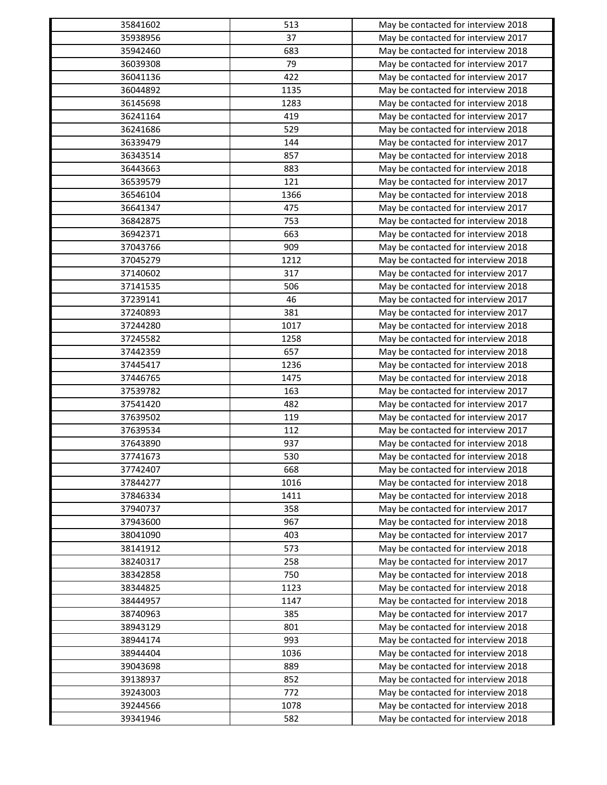| 35841602 | 513        | May be contacted for interview 2018 |
|----------|------------|-------------------------------------|
| 35938956 | 37         | May be contacted for interview 2017 |
| 35942460 | 683        | May be contacted for interview 2018 |
| 36039308 | 79         | May be contacted for interview 2017 |
| 36041136 | 422        | May be contacted for interview 2017 |
| 36044892 | 1135       | May be contacted for interview 2018 |
| 36145698 | 1283       | May be contacted for interview 2018 |
| 36241164 | 419        | May be contacted for interview 2017 |
| 36241686 | 529        | May be contacted for interview 2018 |
| 36339479 | 144        | May be contacted for interview 2017 |
| 36343514 | 857        | May be contacted for interview 2018 |
| 36443663 | 883        | May be contacted for interview 2018 |
| 36539579 | 121        | May be contacted for interview 2017 |
| 36546104 | 1366       | May be contacted for interview 2018 |
| 36641347 | 475        | May be contacted for interview 2017 |
| 36842875 | 753        | May be contacted for interview 2018 |
| 36942371 | 663        | May be contacted for interview 2018 |
| 37043766 | 909        | May be contacted for interview 2018 |
| 37045279 | 1212       | May be contacted for interview 2018 |
| 37140602 | 317        | May be contacted for interview 2017 |
| 37141535 | 506        | May be contacted for interview 2018 |
| 37239141 | 46         | May be contacted for interview 2017 |
| 37240893 | 381        | May be contacted for interview 2017 |
| 37244280 | 1017       | May be contacted for interview 2018 |
| 37245582 | 1258       | May be contacted for interview 2018 |
| 37442359 | 657        |                                     |
| 37445417 | 1236       | May be contacted for interview 2018 |
|          |            | May be contacted for interview 2018 |
| 37446765 | 1475       | May be contacted for interview 2018 |
| 37539782 | 163<br>482 | May be contacted for interview 2017 |
| 37541420 |            | May be contacted for interview 2017 |
| 37639502 | 119        | May be contacted for interview 2017 |
| 37639534 | 112        | May be contacted for interview 2017 |
| 37643890 | 937        | May be contacted for interview 2018 |
| 37741673 | 530        | May be contacted for interview 2018 |
| 37742407 | 668        | May be contacted for interview 2018 |
| 37844277 | 1016       | May be contacted for interview 2018 |
| 37846334 | 1411       | May be contacted for interview 2018 |
| 37940737 | 358        | May be contacted for interview 2017 |
| 37943600 | 967        | May be contacted for interview 2018 |
| 38041090 | 403        | May be contacted for interview 2017 |
| 38141912 | 573        | May be contacted for interview 2018 |
| 38240317 | 258        | May be contacted for interview 2017 |
| 38342858 | 750        | May be contacted for interview 2018 |
| 38344825 | 1123       | May be contacted for interview 2018 |
| 38444957 | 1147       | May be contacted for interview 2018 |
| 38740963 | 385        | May be contacted for interview 2017 |
| 38943129 | 801        | May be contacted for interview 2018 |
| 38944174 | 993        | May be contacted for interview 2018 |
| 38944404 | 1036       | May be contacted for interview 2018 |
| 39043698 | 889        | May be contacted for interview 2018 |
| 39138937 | 852        | May be contacted for interview 2018 |
| 39243003 | 772        | May be contacted for interview 2018 |
| 39244566 | 1078       | May be contacted for interview 2018 |
| 39341946 | 582        | May be contacted for interview 2018 |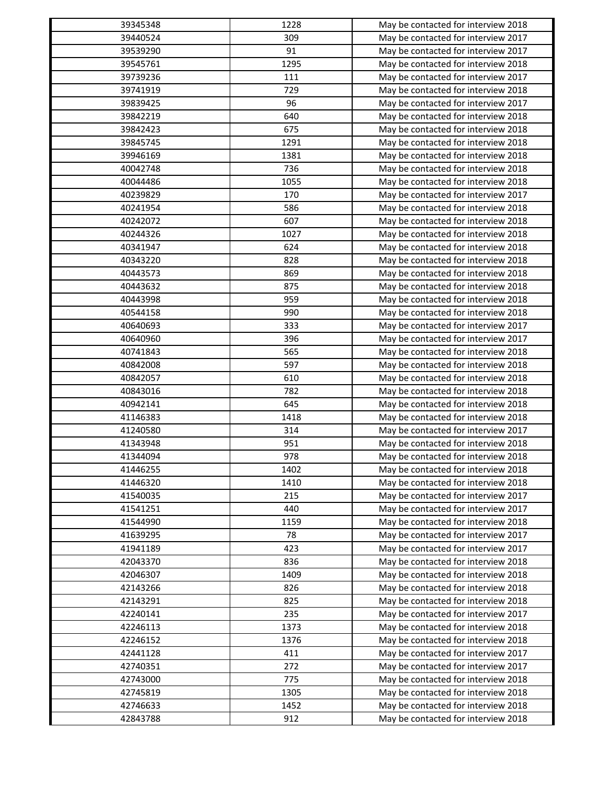| 39345348 | 1228 | May be contacted for interview 2018                                        |
|----------|------|----------------------------------------------------------------------------|
| 39440524 | 309  | May be contacted for interview 2017                                        |
| 39539290 | 91   | May be contacted for interview 2017                                        |
| 39545761 | 1295 | May be contacted for interview 2018                                        |
| 39739236 | 111  | May be contacted for interview 2017                                        |
| 39741919 | 729  | May be contacted for interview 2018                                        |
| 39839425 | 96   | May be contacted for interview 2017                                        |
| 39842219 | 640  | May be contacted for interview 2018                                        |
| 39842423 | 675  | May be contacted for interview 2018                                        |
| 39845745 | 1291 | May be contacted for interview 2018                                        |
| 39946169 | 1381 | May be contacted for interview 2018                                        |
| 40042748 | 736  | May be contacted for interview 2018                                        |
| 40044486 | 1055 | May be contacted for interview 2018                                        |
| 40239829 | 170  | May be contacted for interview 2017                                        |
| 40241954 | 586  | May be contacted for interview 2018                                        |
| 40242072 | 607  | May be contacted for interview 2018                                        |
| 40244326 | 1027 | May be contacted for interview 2018                                        |
| 40341947 | 624  | May be contacted for interview 2018                                        |
| 40343220 | 828  | May be contacted for interview 2018                                        |
| 40443573 | 869  | May be contacted for interview 2018                                        |
| 40443632 | 875  | May be contacted for interview 2018                                        |
| 40443998 | 959  | May be contacted for interview 2018                                        |
| 40544158 | 990  | May be contacted for interview 2018                                        |
| 40640693 | 333  | May be contacted for interview 2017                                        |
| 40640960 | 396  | May be contacted for interview 2017                                        |
| 40741843 | 565  | May be contacted for interview 2018                                        |
| 40842008 | 597  | May be contacted for interview 2018                                        |
| 40842057 | 610  | May be contacted for interview 2018                                        |
| 40843016 | 782  | May be contacted for interview 2018                                        |
| 40942141 | 645  |                                                                            |
| 41146383 | 1418 | May be contacted for interview 2018<br>May be contacted for interview 2018 |
| 41240580 | 314  |                                                                            |
| 41343948 | 951  | May be contacted for interview 2017                                        |
|          |      | May be contacted for interview 2018                                        |
| 41344094 | 978  | May be contacted for interview 2018                                        |
| 41446255 | 1402 | May be contacted for interview 2018                                        |
| 41446320 | 1410 | May be contacted for interview 2018                                        |
| 41540035 | 215  | May be contacted for interview 2017                                        |
| 41541251 | 440  | May be contacted for interview 2017                                        |
| 41544990 | 1159 | May be contacted for interview 2018                                        |
| 41639295 | 78   | May be contacted for interview 2017                                        |
| 41941189 | 423  | May be contacted for interview 2017                                        |
| 42043370 | 836  | May be contacted for interview 2018                                        |
| 42046307 | 1409 | May be contacted for interview 2018                                        |
| 42143266 | 826  | May be contacted for interview 2018                                        |
| 42143291 | 825  | May be contacted for interview 2018                                        |
| 42240141 | 235  | May be contacted for interview 2017                                        |
| 42246113 | 1373 | May be contacted for interview 2018                                        |
| 42246152 | 1376 | May be contacted for interview 2018                                        |
| 42441128 | 411  | May be contacted for interview 2017                                        |
| 42740351 | 272  | May be contacted for interview 2017                                        |
| 42743000 | 775  | May be contacted for interview 2018                                        |
| 42745819 | 1305 | May be contacted for interview 2018                                        |
| 42746633 | 1452 | May be contacted for interview 2018                                        |
| 42843788 | 912  | May be contacted for interview 2018                                        |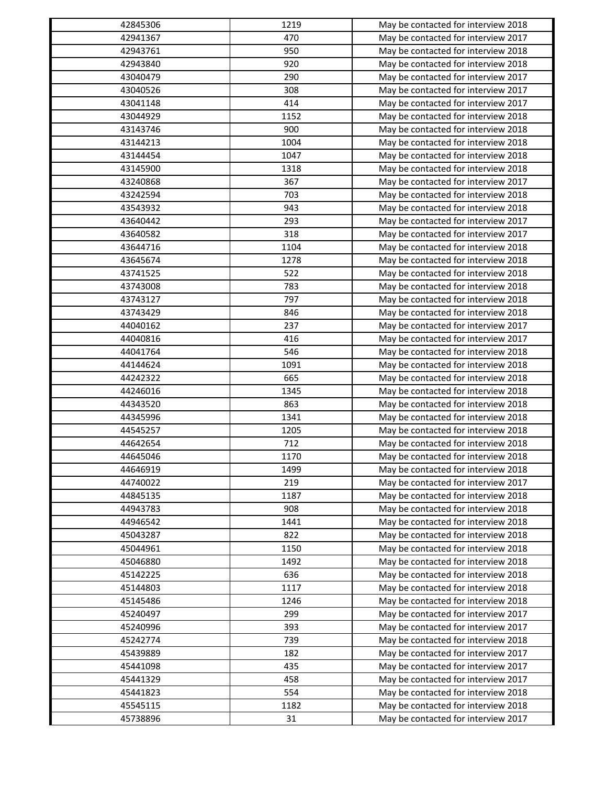| 42845306 | 1219 | May be contacted for interview 2018 |
|----------|------|-------------------------------------|
| 42941367 | 470  | May be contacted for interview 2017 |
| 42943761 | 950  | May be contacted for interview 2018 |
| 42943840 | 920  | May be contacted for interview 2018 |
| 43040479 | 290  | May be contacted for interview 2017 |
| 43040526 | 308  | May be contacted for interview 2017 |
| 43041148 | 414  | May be contacted for interview 2017 |
| 43044929 | 1152 | May be contacted for interview 2018 |
| 43143746 | 900  | May be contacted for interview 2018 |
| 43144213 | 1004 | May be contacted for interview 2018 |
| 43144454 | 1047 | May be contacted for interview 2018 |
| 43145900 | 1318 | May be contacted for interview 2018 |
| 43240868 | 367  | May be contacted for interview 2017 |
| 43242594 | 703  | May be contacted for interview 2018 |
| 43543932 | 943  | May be contacted for interview 2018 |
| 43640442 | 293  | May be contacted for interview 2017 |
| 43640582 | 318  | May be contacted for interview 2017 |
| 43644716 | 1104 | May be contacted for interview 2018 |
| 43645674 | 1278 | May be contacted for interview 2018 |
| 43741525 | 522  | May be contacted for interview 2018 |
| 43743008 | 783  | May be contacted for interview 2018 |
| 43743127 | 797  | May be contacted for interview 2018 |
| 43743429 | 846  | May be contacted for interview 2018 |
| 44040162 | 237  | May be contacted for interview 2017 |
| 44040816 | 416  | May be contacted for interview 2017 |
| 44041764 | 546  | May be contacted for interview 2018 |
| 44144624 | 1091 | May be contacted for interview 2018 |
| 44242322 | 665  | May be contacted for interview 2018 |
| 44246016 | 1345 | May be contacted for interview 2018 |
| 44343520 | 863  | May be contacted for interview 2018 |
| 44345996 | 1341 | May be contacted for interview 2018 |
| 44545257 | 1205 | May be contacted for interview 2018 |
| 44642654 | 712  | May be contacted for interview 2018 |
| 44645046 | 1170 | May be contacted for interview 2018 |
| 44646919 | 1499 | May be contacted for interview 2018 |
| 44740022 | 219  | May be contacted for interview 2017 |
| 44845135 | 1187 | May be contacted for interview 2018 |
| 44943783 | 908  | May be contacted for interview 2018 |
| 44946542 | 1441 | May be contacted for interview 2018 |
| 45043287 | 822  | May be contacted for interview 2018 |
| 45044961 | 1150 | May be contacted for interview 2018 |
| 45046880 | 1492 | May be contacted for interview 2018 |
| 45142225 | 636  | May be contacted for interview 2018 |
| 45144803 | 1117 | May be contacted for interview 2018 |
| 45145486 | 1246 | May be contacted for interview 2018 |
| 45240497 | 299  | May be contacted for interview 2017 |
| 45240996 | 393  | May be contacted for interview 2017 |
| 45242774 | 739  | May be contacted for interview 2018 |
| 45439889 | 182  | May be contacted for interview 2017 |
| 45441098 | 435  | May be contacted for interview 2017 |
| 45441329 | 458  | May be contacted for interview 2017 |
| 45441823 | 554  | May be contacted for interview 2018 |
| 45545115 | 1182 | May be contacted for interview 2018 |
| 45738896 | 31   | May be contacted for interview 2017 |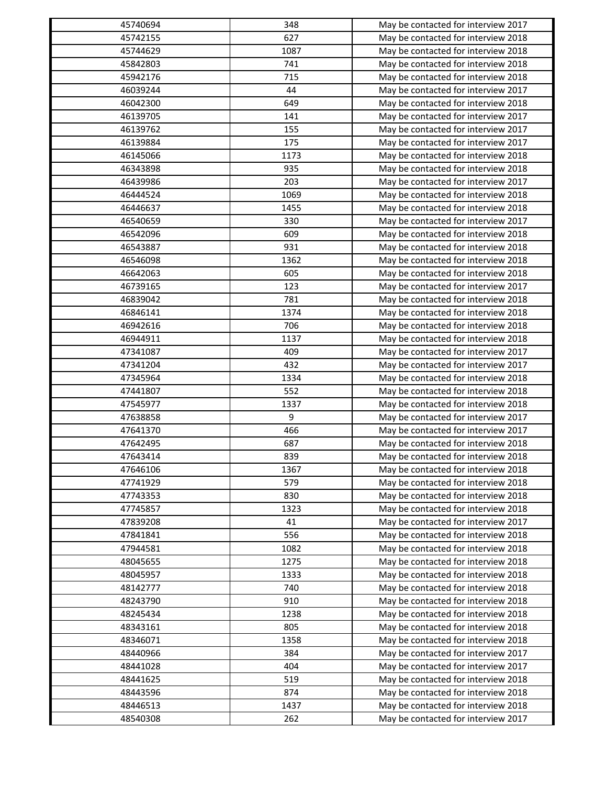| 45740694 | 348  | May be contacted for interview 2017 |
|----------|------|-------------------------------------|
| 45742155 | 627  | May be contacted for interview 2018 |
| 45744629 | 1087 | May be contacted for interview 2018 |
| 45842803 | 741  | May be contacted for interview 2018 |
| 45942176 | 715  | May be contacted for interview 2018 |
| 46039244 | 44   | May be contacted for interview 2017 |
| 46042300 | 649  | May be contacted for interview 2018 |
| 46139705 | 141  | May be contacted for interview 2017 |
| 46139762 | 155  | May be contacted for interview 2017 |
| 46139884 | 175  | May be contacted for interview 2017 |
| 46145066 | 1173 | May be contacted for interview 2018 |
| 46343898 | 935  | May be contacted for interview 2018 |
| 46439986 | 203  | May be contacted for interview 2017 |
| 46444524 | 1069 | May be contacted for interview 2018 |
| 46446637 | 1455 | May be contacted for interview 2018 |
| 46540659 | 330  | May be contacted for interview 2017 |
| 46542096 | 609  | May be contacted for interview 2018 |
| 46543887 | 931  | May be contacted for interview 2018 |
| 46546098 | 1362 | May be contacted for interview 2018 |
| 46642063 | 605  | May be contacted for interview 2018 |
| 46739165 | 123  | May be contacted for interview 2017 |
| 46839042 | 781  | May be contacted for interview 2018 |
| 46846141 | 1374 | May be contacted for interview 2018 |
| 46942616 | 706  | May be contacted for interview 2018 |
| 46944911 | 1137 | May be contacted for interview 2018 |
| 47341087 | 409  | May be contacted for interview 2017 |
| 47341204 | 432  | May be contacted for interview 2017 |
| 47345964 | 1334 | May be contacted for interview 2018 |
| 47441807 | 552  | May be contacted for interview 2018 |
| 47545977 | 1337 | May be contacted for interview 2018 |
| 47638858 | 9    | May be contacted for interview 2017 |
| 47641370 | 466  | May be contacted for interview 2017 |
| 47642495 | 687  |                                     |
| 47643414 |      | May be contacted for interview 2018 |
|          | 839  | May be contacted for interview 2018 |
| 47646106 | 1367 | May be contacted for interview 2018 |
| 47741929 | 579  | May be contacted for interview 2018 |
| 47743353 | 830  | May be contacted for interview 2018 |
| 47745857 | 1323 | May be contacted for interview 2018 |
| 47839208 | 41   | May be contacted for interview 2017 |
| 47841841 | 556  | May be contacted for interview 2018 |
| 47944581 | 1082 | May be contacted for interview 2018 |
| 48045655 | 1275 | May be contacted for interview 2018 |
| 48045957 | 1333 | May be contacted for interview 2018 |
| 48142777 | 740  | May be contacted for interview 2018 |
| 48243790 | 910  | May be contacted for interview 2018 |
| 48245434 | 1238 | May be contacted for interview 2018 |
| 48343161 | 805  | May be contacted for interview 2018 |
| 48346071 | 1358 | May be contacted for interview 2018 |
| 48440966 | 384  | May be contacted for interview 2017 |
| 48441028 | 404  | May be contacted for interview 2017 |
| 48441625 | 519  | May be contacted for interview 2018 |
| 48443596 | 874  | May be contacted for interview 2018 |
| 48446513 | 1437 | May be contacted for interview 2018 |
| 48540308 | 262  | May be contacted for interview 2017 |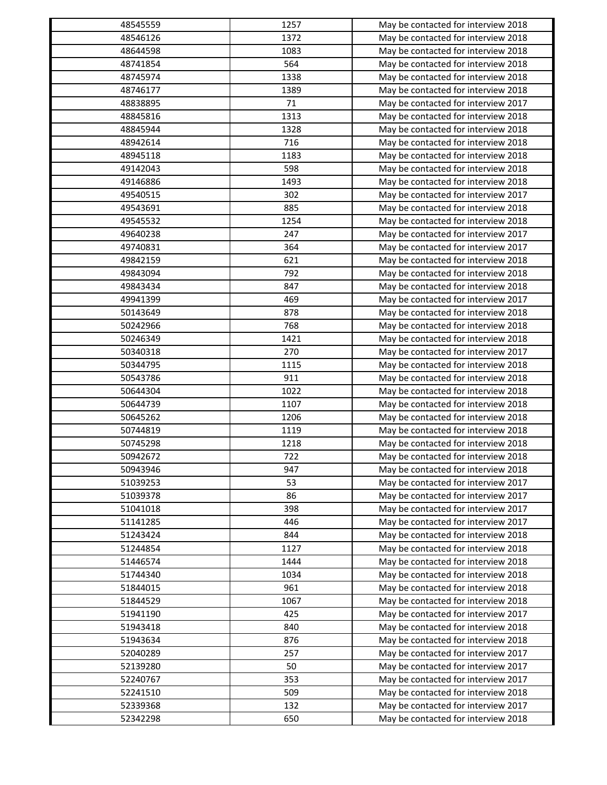| 48545559 | 1257 | May be contacted for interview 2018 |
|----------|------|-------------------------------------|
| 48546126 | 1372 | May be contacted for interview 2018 |
| 48644598 | 1083 | May be contacted for interview 2018 |
| 48741854 | 564  | May be contacted for interview 2018 |
| 48745974 | 1338 | May be contacted for interview 2018 |
| 48746177 | 1389 | May be contacted for interview 2018 |
| 48838895 | 71   | May be contacted for interview 2017 |
| 48845816 | 1313 | May be contacted for interview 2018 |
| 48845944 | 1328 | May be contacted for interview 2018 |
| 48942614 | 716  | May be contacted for interview 2018 |
| 48945118 | 1183 | May be contacted for interview 2018 |
| 49142043 | 598  | May be contacted for interview 2018 |
| 49146886 | 1493 | May be contacted for interview 2018 |
| 49540515 | 302  | May be contacted for interview 2017 |
| 49543691 | 885  | May be contacted for interview 2018 |
| 49545532 | 1254 | May be contacted for interview 2018 |
| 49640238 | 247  | May be contacted for interview 2017 |
| 49740831 | 364  | May be contacted for interview 2017 |
| 49842159 | 621  | May be contacted for interview 2018 |
| 49843094 | 792  | May be contacted for interview 2018 |
| 49843434 | 847  | May be contacted for interview 2018 |
| 49941399 | 469  | May be contacted for interview 2017 |
| 50143649 | 878  | May be contacted for interview 2018 |
| 50242966 | 768  | May be contacted for interview 2018 |
| 50246349 | 1421 | May be contacted for interview 2018 |
| 50340318 | 270  | May be contacted for interview 2017 |
| 50344795 | 1115 | May be contacted for interview 2018 |
| 50543786 | 911  | May be contacted for interview 2018 |
| 50644304 | 1022 | May be contacted for interview 2018 |
| 50644739 | 1107 | May be contacted for interview 2018 |
| 50645262 | 1206 | May be contacted for interview 2018 |
| 50744819 | 1119 | May be contacted for interview 2018 |
| 50745298 | 1218 |                                     |
|          | 722  | May be contacted for interview 2018 |
| 50942672 |      | May be contacted for interview 2018 |
| 50943946 | 947  | May be contacted for interview 2018 |
| 51039253 | 53   | May be contacted for interview 2017 |
| 51039378 | 86   | May be contacted for interview 2017 |
| 51041018 | 398  | May be contacted for interview 2017 |
| 51141285 | 446  | May be contacted for interview 2017 |
| 51243424 | 844  | May be contacted for interview 2018 |
| 51244854 | 1127 | May be contacted for interview 2018 |
| 51446574 | 1444 | May be contacted for interview 2018 |
| 51744340 | 1034 | May be contacted for interview 2018 |
| 51844015 | 961  | May be contacted for interview 2018 |
| 51844529 | 1067 | May be contacted for interview 2018 |
| 51941190 | 425  | May be contacted for interview 2017 |
| 51943418 | 840  | May be contacted for interview 2018 |
| 51943634 | 876  | May be contacted for interview 2018 |
| 52040289 | 257  | May be contacted for interview 2017 |
| 52139280 | 50   | May be contacted for interview 2017 |
| 52240767 | 353  | May be contacted for interview 2017 |
| 52241510 | 509  | May be contacted for interview 2018 |
| 52339368 | 132  | May be contacted for interview 2017 |
| 52342298 | 650  | May be contacted for interview 2018 |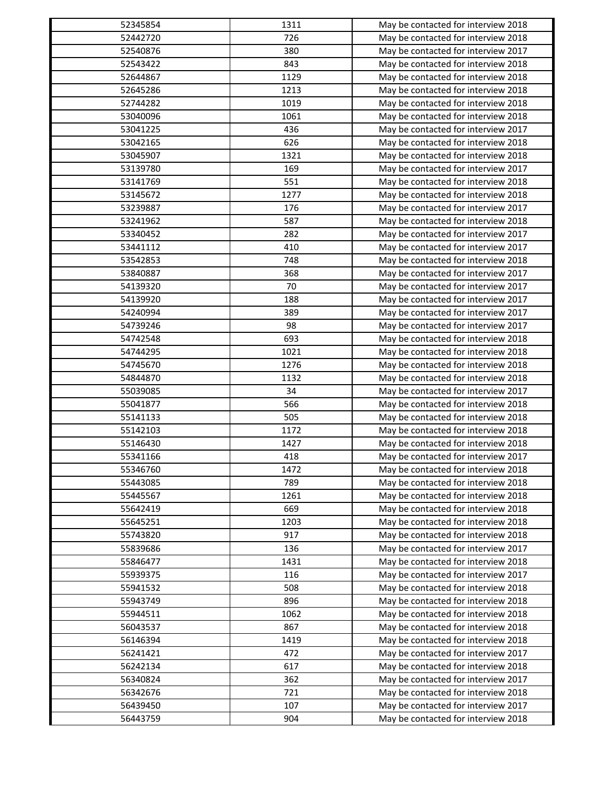| 52345854 | 1311 | May be contacted for interview 2018                                        |
|----------|------|----------------------------------------------------------------------------|
| 52442720 | 726  | May be contacted for interview 2018                                        |
| 52540876 | 380  | May be contacted for interview 2017                                        |
| 52543422 | 843  | May be contacted for interview 2018                                        |
| 52644867 | 1129 | May be contacted for interview 2018                                        |
| 52645286 | 1213 | May be contacted for interview 2018                                        |
| 52744282 | 1019 | May be contacted for interview 2018                                        |
| 53040096 | 1061 | May be contacted for interview 2018                                        |
| 53041225 | 436  | May be contacted for interview 2017                                        |
| 53042165 | 626  | May be contacted for interview 2018                                        |
| 53045907 | 1321 | May be contacted for interview 2018                                        |
| 53139780 | 169  | May be contacted for interview 2017                                        |
| 53141769 | 551  | May be contacted for interview 2018                                        |
| 53145672 | 1277 | May be contacted for interview 2018                                        |
| 53239887 | 176  | May be contacted for interview 2017                                        |
| 53241962 | 587  | May be contacted for interview 2018                                        |
| 53340452 | 282  | May be contacted for interview 2017                                        |
| 53441112 | 410  | May be contacted for interview 2017                                        |
| 53542853 | 748  | May be contacted for interview 2018                                        |
| 53840887 | 368  | May be contacted for interview 2017                                        |
| 54139320 | 70   | May be contacted for interview 2017                                        |
| 54139920 | 188  | May be contacted for interview 2017                                        |
| 54240994 | 389  | May be contacted for interview 2017                                        |
| 54739246 | 98   | May be contacted for interview 2017                                        |
| 54742548 | 693  | May be contacted for interview 2018                                        |
| 54744295 | 1021 | May be contacted for interview 2018                                        |
| 54745670 | 1276 | May be contacted for interview 2018                                        |
| 54844870 | 1132 | May be contacted for interview 2018                                        |
| 55039085 | 34   | May be contacted for interview 2017                                        |
| 55041877 | 566  | May be contacted for interview 2018                                        |
| 55141133 | 505  | May be contacted for interview 2018                                        |
| 55142103 | 1172 |                                                                            |
| 55146430 | 1427 | May be contacted for interview 2018<br>May be contacted for interview 2018 |
|          |      |                                                                            |
| 55341166 | 418  | May be contacted for interview 2017                                        |
| 55346760 | 1472 | May be contacted for interview 2018                                        |
| 55443085 | 789  | May be contacted for interview 2018                                        |
| 55445567 | 1261 | May be contacted for interview 2018                                        |
| 55642419 | 669  | May be contacted for interview 2018                                        |
| 55645251 | 1203 | May be contacted for interview 2018                                        |
| 55743820 | 917  | May be contacted for interview 2018                                        |
| 55839686 | 136  | May be contacted for interview 2017                                        |
| 55846477 | 1431 | May be contacted for interview 2018                                        |
| 55939375 | 116  | May be contacted for interview 2017                                        |
| 55941532 | 508  | May be contacted for interview 2018                                        |
| 55943749 | 896  | May be contacted for interview 2018                                        |
| 55944511 | 1062 | May be contacted for interview 2018                                        |
| 56043537 | 867  | May be contacted for interview 2018                                        |
| 56146394 | 1419 | May be contacted for interview 2018                                        |
| 56241421 | 472  | May be contacted for interview 2017                                        |
| 56242134 | 617  | May be contacted for interview 2018                                        |
| 56340824 | 362  | May be contacted for interview 2017                                        |
| 56342676 | 721  | May be contacted for interview 2018                                        |
| 56439450 | 107  | May be contacted for interview 2017                                        |
| 56443759 | 904  | May be contacted for interview 2018                                        |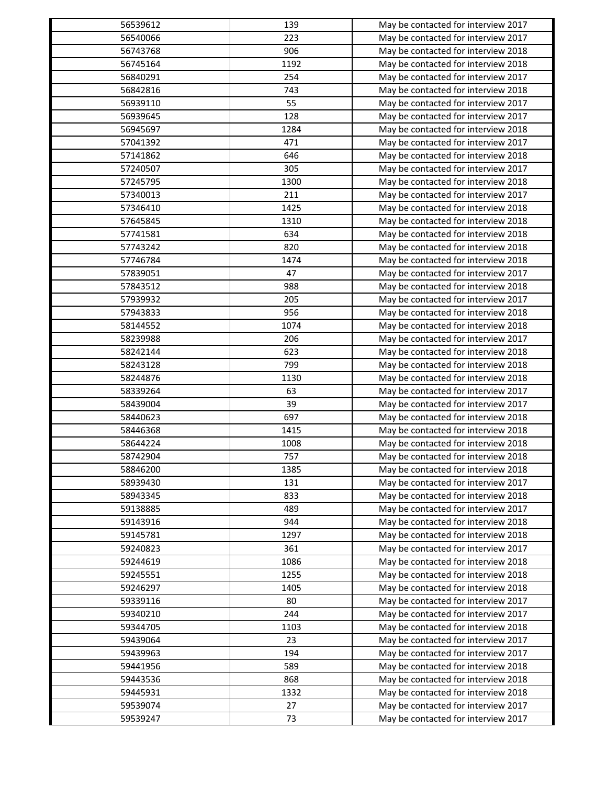| 56539612 | 139  | May be contacted for interview 2017 |
|----------|------|-------------------------------------|
| 56540066 | 223  | May be contacted for interview 2017 |
| 56743768 | 906  | May be contacted for interview 2018 |
| 56745164 | 1192 | May be contacted for interview 2018 |
| 56840291 | 254  | May be contacted for interview 2017 |
| 56842816 | 743  | May be contacted for interview 2018 |
| 56939110 | 55   | May be contacted for interview 2017 |
| 56939645 | 128  | May be contacted for interview 2017 |
| 56945697 | 1284 | May be contacted for interview 2018 |
| 57041392 | 471  | May be contacted for interview 2017 |
| 57141862 | 646  | May be contacted for interview 2018 |
| 57240507 | 305  | May be contacted for interview 2017 |
| 57245795 | 1300 | May be contacted for interview 2018 |
| 57340013 | 211  | May be contacted for interview 2017 |
| 57346410 | 1425 | May be contacted for interview 2018 |
| 57645845 | 1310 | May be contacted for interview 2018 |
| 57741581 | 634  | May be contacted for interview 2018 |
| 57743242 | 820  | May be contacted for interview 2018 |
| 57746784 | 1474 | May be contacted for interview 2018 |
| 57839051 | 47   | May be contacted for interview 2017 |
| 57843512 | 988  | May be contacted for interview 2018 |
| 57939932 | 205  | May be contacted for interview 2017 |
| 57943833 | 956  | May be contacted for interview 2018 |
| 58144552 | 1074 | May be contacted for interview 2018 |
| 58239988 | 206  | May be contacted for interview 2017 |
| 58242144 | 623  | May be contacted for interview 2018 |
| 58243128 | 799  | May be contacted for interview 2018 |
| 58244876 | 1130 | May be contacted for interview 2018 |
| 58339264 | 63   | May be contacted for interview 2017 |
| 58439004 | 39   | May be contacted for interview 2017 |
| 58440623 | 697  | May be contacted for interview 2018 |
| 58446368 | 1415 | May be contacted for interview 2018 |
| 58644224 | 1008 | May be contacted for interview 2018 |
| 58742904 | 757  | May be contacted for interview 2018 |
| 58846200 | 1385 | May be contacted for interview 2018 |
|          |      |                                     |
| 58939430 | 131  | May be contacted for interview 2017 |
| 58943345 | 833  | May be contacted for interview 2018 |
| 59138885 | 489  | May be contacted for interview 2017 |
| 59143916 | 944  | May be contacted for interview 2018 |
| 59145781 | 1297 | May be contacted for interview 2018 |
| 59240823 | 361  | May be contacted for interview 2017 |
| 59244619 | 1086 | May be contacted for interview 2018 |
| 59245551 | 1255 | May be contacted for interview 2018 |
| 59246297 | 1405 | May be contacted for interview 2018 |
| 59339116 | 80   | May be contacted for interview 2017 |
| 59340210 | 244  | May be contacted for interview 2017 |
| 59344705 | 1103 | May be contacted for interview 2018 |
| 59439064 | 23   | May be contacted for interview 2017 |
| 59439963 | 194  | May be contacted for interview 2017 |
| 59441956 | 589  | May be contacted for interview 2018 |
| 59443536 | 868  | May be contacted for interview 2018 |
| 59445931 | 1332 | May be contacted for interview 2018 |
| 59539074 | 27   | May be contacted for interview 2017 |
| 59539247 | 73   | May be contacted for interview 2017 |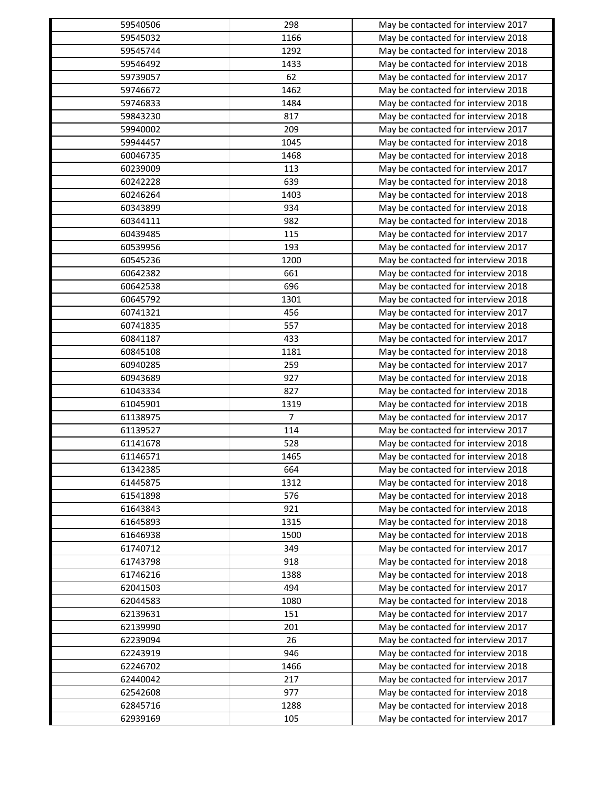| 59540506             | 298            | May be contacted for interview 2017                                        |
|----------------------|----------------|----------------------------------------------------------------------------|
| 59545032             | 1166           | May be contacted for interview 2018                                        |
| 59545744             | 1292           | May be contacted for interview 2018                                        |
| 59546492             | 1433           | May be contacted for interview 2018                                        |
| 59739057             | 62             | May be contacted for interview 2017                                        |
| 59746672             | 1462           | May be contacted for interview 2018                                        |
| 59746833             | 1484           | May be contacted for interview 2018                                        |
| 59843230             | 817            | May be contacted for interview 2018                                        |
| 59940002             | 209            | May be contacted for interview 2017                                        |
| 59944457             | 1045           | May be contacted for interview 2018                                        |
| 60046735             | 1468           | May be contacted for interview 2018                                        |
| 60239009             | 113            | May be contacted for interview 2017                                        |
| 60242228             | 639            | May be contacted for interview 2018                                        |
| 60246264             | 1403           | May be contacted for interview 2018                                        |
| 60343899             | 934            | May be contacted for interview 2018                                        |
| 60344111             | 982            | May be contacted for interview 2018                                        |
| 60439485             | 115            | May be contacted for interview 2017                                        |
| 60539956             | 193            | May be contacted for interview 2017                                        |
| 60545236             | 1200           | May be contacted for interview 2018                                        |
| 60642382             | 661            | May be contacted for interview 2018                                        |
| 60642538             | 696            | May be contacted for interview 2018                                        |
| 60645792             | 1301           | May be contacted for interview 2018                                        |
| 60741321             | 456            | May be contacted for interview 2017                                        |
| 60741835             | 557            | May be contacted for interview 2018                                        |
| 60841187             | 433            | May be contacted for interview 2017                                        |
| 60845108             | 1181           | May be contacted for interview 2018                                        |
| 60940285             | 259            | May be contacted for interview 2017                                        |
| 60943689             | 927            | May be contacted for interview 2018                                        |
| 61043334             | 827            | May be contacted for interview 2018                                        |
| 61045901             | 1319           | May be contacted for interview 2018                                        |
| 61138975             | $\overline{7}$ | May be contacted for interview 2017                                        |
| 61139527             | 114            | May be contacted for interview 2017                                        |
| 61141678             | 528            | May be contacted for interview 2018                                        |
| 61146571             | 1465           | May be contacted for interview 2018                                        |
| 61342385             | 664            | May be contacted for interview 2018                                        |
| 61445875             | 1312           | May be contacted for interview 2018                                        |
| 61541898             | 576            | May be contacted for interview 2018                                        |
| 61643843             | 921            | May be contacted for interview 2018                                        |
| 61645893             | 1315           | May be contacted for interview 2018                                        |
| 61646938             | 1500           | May be contacted for interview 2018                                        |
| 61740712             | 349            | May be contacted for interview 2017                                        |
| 61743798             | 918            | May be contacted for interview 2018                                        |
| 61746216             | 1388           | May be contacted for interview 2018                                        |
| 62041503             | 494            | May be contacted for interview 2017                                        |
|                      |                |                                                                            |
| 62044583<br>62139631 | 1080<br>151    | May be contacted for interview 2018<br>May be contacted for interview 2017 |
| 62139990             | 201            | May be contacted for interview 2017                                        |
|                      |                | May be contacted for interview 2017                                        |
| 62239094<br>62243919 | 26<br>946      | May be contacted for interview 2018                                        |
|                      |                |                                                                            |
| 62246702             | 1466           | May be contacted for interview 2018                                        |
| 62440042<br>62542608 | 217<br>977     | May be contacted for interview 2017                                        |
|                      |                | May be contacted for interview 2018                                        |
| 62845716             | 1288           | May be contacted for interview 2018                                        |
| 62939169             | 105            | May be contacted for interview 2017                                        |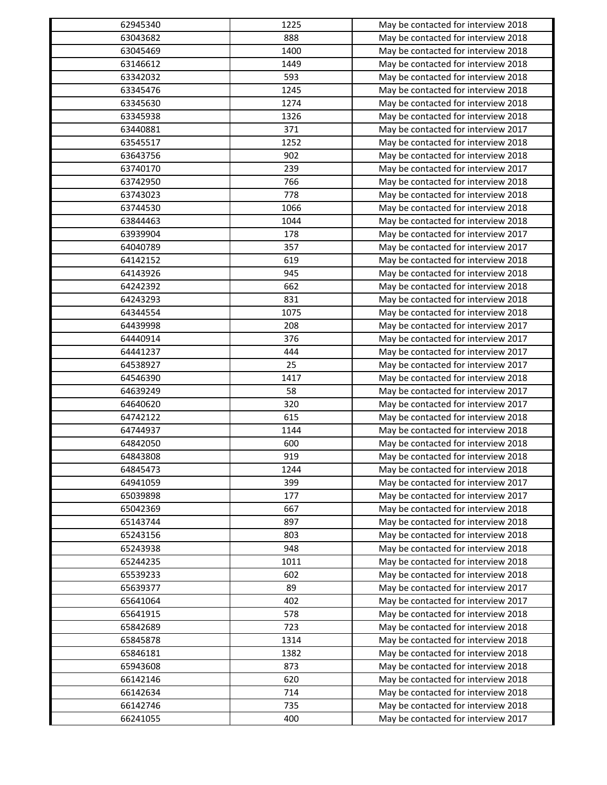| 62945340 | 1225        | May be contacted for interview 2018                                        |
|----------|-------------|----------------------------------------------------------------------------|
| 63043682 | 888         | May be contacted for interview 2018                                        |
| 63045469 | 1400        | May be contacted for interview 2018                                        |
| 63146612 | 1449        | May be contacted for interview 2018                                        |
| 63342032 | 593         | May be contacted for interview 2018                                        |
| 63345476 | 1245        | May be contacted for interview 2018                                        |
| 63345630 | 1274        | May be contacted for interview 2018                                        |
| 63345938 | 1326        | May be contacted for interview 2018                                        |
| 63440881 | 371         | May be contacted for interview 2017                                        |
| 63545517 | 1252        | May be contacted for interview 2018                                        |
| 63643756 | 902         | May be contacted for interview 2018                                        |
| 63740170 | 239         | May be contacted for interview 2017                                        |
| 63742950 | 766         | May be contacted for interview 2018                                        |
| 63743023 | 778         | May be contacted for interview 2018                                        |
| 63744530 | 1066        | May be contacted for interview 2018                                        |
| 63844463 | 1044        | May be contacted for interview 2018                                        |
| 63939904 | 178         | May be contacted for interview 2017                                        |
| 64040789 | 357         | May be contacted for interview 2017                                        |
| 64142152 | 619         | May be contacted for interview 2018                                        |
| 64143926 | 945         | May be contacted for interview 2018                                        |
| 64242392 | 662         | May be contacted for interview 2018                                        |
| 64243293 | 831         | May be contacted for interview 2018                                        |
| 64344554 | 1075        | May be contacted for interview 2018                                        |
| 64439998 | 208         | May be contacted for interview 2017                                        |
| 64440914 | 376         | May be contacted for interview 2017                                        |
| 64441237 | 444         | May be contacted for interview 2017                                        |
| 64538927 | 25          | May be contacted for interview 2017                                        |
| 64546390 | 1417        | May be contacted for interview 2018                                        |
| 64639249 | 58          | May be contacted for interview 2017                                        |
| 64640620 | 320         | May be contacted for interview 2017                                        |
| 64742122 | 615         | May be contacted for interview 2018                                        |
| 64744937 | 1144        | May be contacted for interview 2018                                        |
| 64842050 | 600         | May be contacted for interview 2018                                        |
| 64843808 | 919         | May be contacted for interview 2018                                        |
| 64845473 | 1244        | May be contacted for interview 2018                                        |
| 64941059 | 399         | May be contacted for interview 2017                                        |
| 65039898 | 177         |                                                                            |
| 65042369 | 667         | May be contacted for interview 2017<br>May be contacted for interview 2018 |
| 65143744 |             |                                                                            |
| 65243156 | 897         | May be contacted for interview 2018                                        |
|          | 803         | May be contacted for interview 2018                                        |
| 65243938 | 948<br>1011 | May be contacted for interview 2018                                        |
| 65244235 |             | May be contacted for interview 2018                                        |
| 65539233 | 602         | May be contacted for interview 2018                                        |
| 65639377 | 89          | May be contacted for interview 2017                                        |
| 65641064 | 402         | May be contacted for interview 2017                                        |
| 65641915 | 578         | May be contacted for interview 2018                                        |
| 65842689 | 723         | May be contacted for interview 2018                                        |
| 65845878 | 1314        | May be contacted for interview 2018                                        |
| 65846181 | 1382        | May be contacted for interview 2018                                        |
| 65943608 | 873         | May be contacted for interview 2018                                        |
| 66142146 | 620         | May be contacted for interview 2018                                        |
| 66142634 | 714         | May be contacted for interview 2018                                        |
| 66142746 | 735         | May be contacted for interview 2018                                        |
| 66241055 | 400         | May be contacted for interview 2017                                        |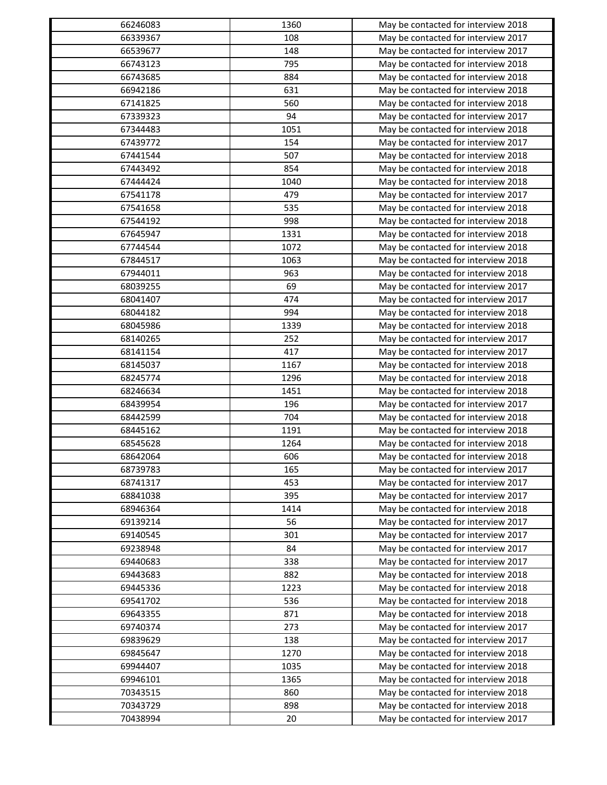| 66246083 | 1360 | May be contacted for interview 2018 |
|----------|------|-------------------------------------|
| 66339367 | 108  | May be contacted for interview 2017 |
| 66539677 | 148  | May be contacted for interview 2017 |
| 66743123 | 795  | May be contacted for interview 2018 |
| 66743685 | 884  | May be contacted for interview 2018 |
| 66942186 | 631  | May be contacted for interview 2018 |
| 67141825 | 560  | May be contacted for interview 2018 |
| 67339323 | 94   | May be contacted for interview 2017 |
| 67344483 | 1051 | May be contacted for interview 2018 |
| 67439772 | 154  | May be contacted for interview 2017 |
| 67441544 | 507  | May be contacted for interview 2018 |
| 67443492 | 854  | May be contacted for interview 2018 |
| 67444424 | 1040 | May be contacted for interview 2018 |
| 67541178 | 479  | May be contacted for interview 2017 |
| 67541658 | 535  | May be contacted for interview 2018 |
| 67544192 | 998  | May be contacted for interview 2018 |
| 67645947 | 1331 | May be contacted for interview 2018 |
| 67744544 | 1072 | May be contacted for interview 2018 |
| 67844517 | 1063 | May be contacted for interview 2018 |
| 67944011 | 963  | May be contacted for interview 2018 |
| 68039255 | 69   | May be contacted for interview 2017 |
| 68041407 | 474  | May be contacted for interview 2017 |
| 68044182 | 994  | May be contacted for interview 2018 |
| 68045986 | 1339 | May be contacted for interview 2018 |
| 68140265 | 252  | May be contacted for interview 2017 |
| 68141154 | 417  | May be contacted for interview 2017 |
| 68145037 | 1167 | May be contacted for interview 2018 |
| 68245774 | 1296 | May be contacted for interview 2018 |
| 68246634 | 1451 | May be contacted for interview 2018 |
| 68439954 | 196  | May be contacted for interview 2017 |
| 68442599 | 704  | May be contacted for interview 2018 |
| 68445162 | 1191 | May be contacted for interview 2018 |
| 68545628 | 1264 | May be contacted for interview 2018 |
| 68642064 | 606  | May be contacted for interview 2018 |
| 68739783 | 165  | May be contacted for interview 2017 |
| 68741317 | 453  | May be contacted for interview 2017 |
| 68841038 | 395  | May be contacted for interview 2017 |
| 68946364 | 1414 | May be contacted for interview 2018 |
| 69139214 | 56   | May be contacted for interview 2017 |
| 69140545 | 301  | May be contacted for interview 2017 |
| 69238948 | 84   | May be contacted for interview 2017 |
| 69440683 | 338  | May be contacted for interview 2017 |
| 69443683 | 882  | May be contacted for interview 2018 |
| 69445336 | 1223 | May be contacted for interview 2018 |
| 69541702 | 536  | May be contacted for interview 2018 |
| 69643355 | 871  | May be contacted for interview 2018 |
| 69740374 | 273  | May be contacted for interview 2017 |
| 69839629 | 138  | May be contacted for interview 2017 |
| 69845647 | 1270 | May be contacted for interview 2018 |
| 69944407 | 1035 |                                     |
| 69946101 | 1365 | May be contacted for interview 2018 |
| 70343515 | 860  | May be contacted for interview 2018 |
|          |      | May be contacted for interview 2018 |
| 70343729 | 898  | May be contacted for interview 2018 |
| 70438994 | 20   | May be contacted for interview 2017 |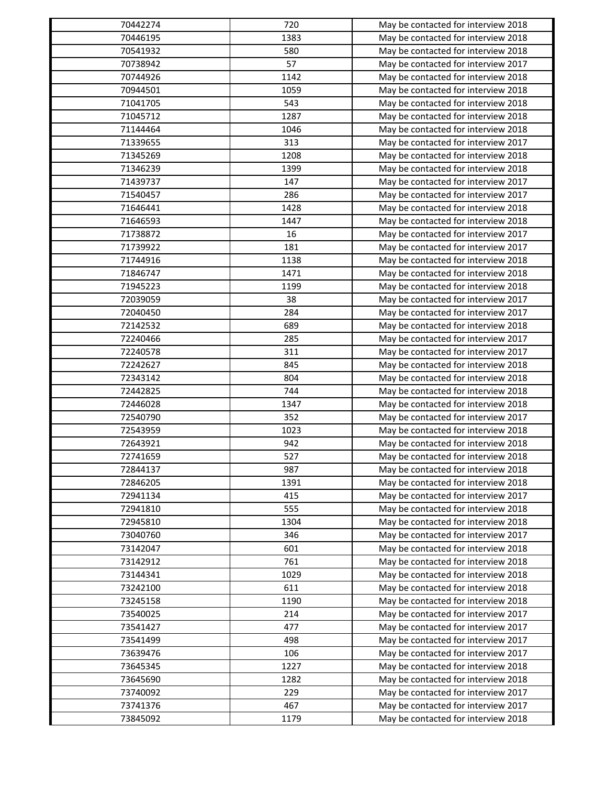| 70442274 | 720         | May be contacted for interview 2018                                        |
|----------|-------------|----------------------------------------------------------------------------|
| 70446195 | 1383        | May be contacted for interview 2018                                        |
| 70541932 | 580         | May be contacted for interview 2018                                        |
| 70738942 | 57          | May be contacted for interview 2017                                        |
| 70744926 | 1142        | May be contacted for interview 2018                                        |
| 70944501 | 1059        | May be contacted for interview 2018                                        |
| 71041705 | 543         | May be contacted for interview 2018                                        |
| 71045712 | 1287        | May be contacted for interview 2018                                        |
| 71144464 | 1046        | May be contacted for interview 2018                                        |
| 71339655 | 313         | May be contacted for interview 2017                                        |
| 71345269 | 1208        | May be contacted for interview 2018                                        |
| 71346239 | 1399        | May be contacted for interview 2018                                        |
| 71439737 | 147         | May be contacted for interview 2017                                        |
| 71540457 | 286         | May be contacted for interview 2017                                        |
| 71646441 | 1428        | May be contacted for interview 2018                                        |
| 71646593 | 1447        | May be contacted for interview 2018                                        |
| 71738872 | 16          | May be contacted for interview 2017                                        |
| 71739922 | 181         | May be contacted for interview 2017                                        |
| 71744916 | 1138        | May be contacted for interview 2018                                        |
| 71846747 | 1471        | May be contacted for interview 2018                                        |
| 71945223 | 1199        | May be contacted for interview 2018                                        |
| 72039059 | 38          | May be contacted for interview 2017                                        |
| 72040450 | 284         | May be contacted for interview 2017                                        |
| 72142532 | 689         | May be contacted for interview 2018                                        |
| 72240466 | 285         | May be contacted for interview 2017                                        |
| 72240578 | 311         | May be contacted for interview 2017                                        |
| 72242627 | 845         |                                                                            |
| 72343142 | 804         | May be contacted for interview 2018<br>May be contacted for interview 2018 |
| 72442825 | 744         |                                                                            |
|          |             | May be contacted for interview 2018                                        |
| 72446028 | 1347<br>352 | May be contacted for interview 2018<br>May be contacted for interview 2017 |
| 72540790 |             |                                                                            |
| 72543959 | 1023        | May be contacted for interview 2018                                        |
| 72643921 | 942         | May be contacted for interview 2018                                        |
| 72741659 | 527         | May be contacted for interview 2018                                        |
| 72844137 | 987         | May be contacted for interview 2018                                        |
| 72846205 | 1391        | May be contacted for interview 2018                                        |
| 72941134 | 415         | May be contacted for interview 2017                                        |
| 72941810 | 555         | May be contacted for interview 2018                                        |
| 72945810 | 1304        | May be contacted for interview 2018                                        |
| 73040760 | 346         | May be contacted for interview 2017                                        |
| 73142047 | 601         | May be contacted for interview 2018                                        |
| 73142912 | 761         | May be contacted for interview 2018                                        |
| 73144341 | 1029        | May be contacted for interview 2018                                        |
| 73242100 | 611         | May be contacted for interview 2018                                        |
| 73245158 | 1190        | May be contacted for interview 2018                                        |
| 73540025 | 214         | May be contacted for interview 2017                                        |
| 73541427 | 477         | May be contacted for interview 2017                                        |
| 73541499 | 498         | May be contacted for interview 2017                                        |
| 73639476 | 106         | May be contacted for interview 2017                                        |
| 73645345 | 1227        | May be contacted for interview 2018                                        |
| 73645690 | 1282        | May be contacted for interview 2018                                        |
| 73740092 | 229         | May be contacted for interview 2017                                        |
| 73741376 | 467         | May be contacted for interview 2017                                        |
| 73845092 | 1179        | May be contacted for interview 2018                                        |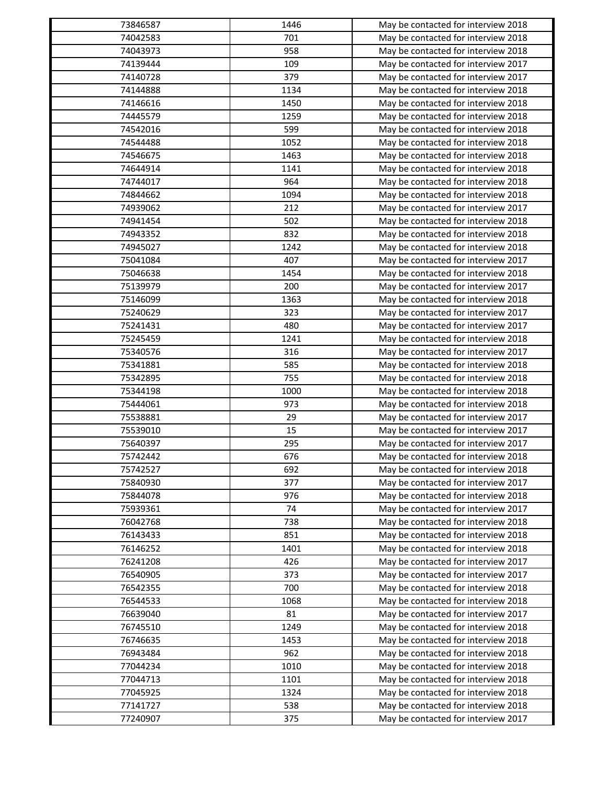| 73846587 | 1446       | May be contacted for interview 2018                                        |
|----------|------------|----------------------------------------------------------------------------|
| 74042583 | 701        | May be contacted for interview 2018                                        |
| 74043973 | 958        | May be contacted for interview 2018                                        |
| 74139444 | 109        | May be contacted for interview 2017                                        |
| 74140728 | 379        | May be contacted for interview 2017                                        |
| 74144888 | 1134       | May be contacted for interview 2018                                        |
| 74146616 | 1450       | May be contacted for interview 2018                                        |
| 74445579 | 1259       | May be contacted for interview 2018                                        |
| 74542016 | 599        | May be contacted for interview 2018                                        |
| 74544488 | 1052       | May be contacted for interview 2018                                        |
| 74546675 | 1463       | May be contacted for interview 2018                                        |
| 74644914 | 1141       | May be contacted for interview 2018                                        |
| 74744017 | 964        | May be contacted for interview 2018                                        |
| 74844662 | 1094       | May be contacted for interview 2018                                        |
| 74939062 | 212        | May be contacted for interview 2017                                        |
| 74941454 | 502        | May be contacted for interview 2018                                        |
| 74943352 | 832        | May be contacted for interview 2018                                        |
| 74945027 | 1242       | May be contacted for interview 2018                                        |
| 75041084 | 407        | May be contacted for interview 2017                                        |
| 75046638 | 1454       | May be contacted for interview 2018                                        |
| 75139979 | 200        | May be contacted for interview 2017                                        |
| 75146099 | 1363       | May be contacted for interview 2018                                        |
| 75240629 | 323        | May be contacted for interview 2017                                        |
| 75241431 | 480        | May be contacted for interview 2017                                        |
| 75245459 | 1241       | May be contacted for interview 2018                                        |
| 75340576 | 316        | May be contacted for interview 2017                                        |
| 75341881 | 585        | May be contacted for interview 2018                                        |
| 75342895 | 755        | May be contacted for interview 2018                                        |
| 75344198 | 1000       | May be contacted for interview 2018                                        |
| 75444061 | 973        | May be contacted for interview 2018                                        |
| 75538881 | 29         | May be contacted for interview 2017                                        |
| 75539010 | 15         | May be contacted for interview 2017                                        |
| 75640397 | 295        | May be contacted for interview 2017                                        |
| 75742442 | 676        | May be contacted for interview 2018                                        |
| 75742527 | 692        | May be contacted for interview 2018                                        |
| 75840930 | 377        | May be contacted for interview 2017                                        |
| 75844078 | 976        | May be contacted for interview 2018                                        |
| 75939361 | 74         | May be contacted for interview 2017                                        |
| 76042768 | 738        | May be contacted for interview 2018                                        |
| 76143433 | 851        | May be contacted for interview 2018                                        |
| 76146252 | 1401       | May be contacted for interview 2018                                        |
| 76241208 | 426        |                                                                            |
|          |            | May be contacted for interview 2017                                        |
| 76540905 | 373<br>700 | May be contacted for interview 2017<br>May be contacted for interview 2018 |
| 76542355 |            |                                                                            |
| 76544533 | 1068       | May be contacted for interview 2018                                        |
| 76639040 | 81         | May be contacted for interview 2017                                        |
| 76745510 | 1249       | May be contacted for interview 2018                                        |
| 76746635 | 1453       | May be contacted for interview 2018                                        |
| 76943484 | 962        | May be contacted for interview 2018                                        |
| 77044234 | 1010       | May be contacted for interview 2018                                        |
| 77044713 | 1101       | May be contacted for interview 2018                                        |
| 77045925 | 1324       | May be contacted for interview 2018                                        |
| 77141727 | 538        | May be contacted for interview 2018                                        |
| 77240907 | 375        | May be contacted for interview 2017                                        |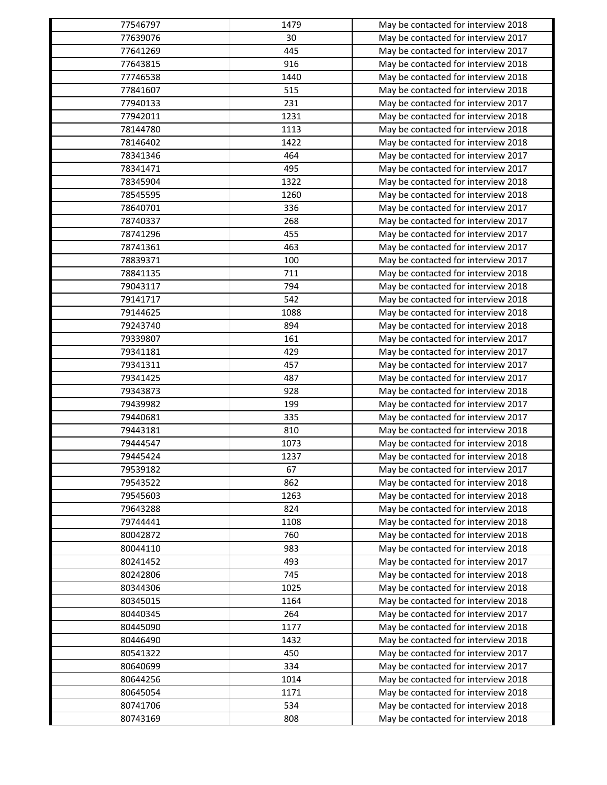| 77546797 | 1479 | May be contacted for interview 2018 |
|----------|------|-------------------------------------|
| 77639076 | 30   | May be contacted for interview 2017 |
| 77641269 | 445  | May be contacted for interview 2017 |
| 77643815 | 916  | May be contacted for interview 2018 |
| 77746538 | 1440 | May be contacted for interview 2018 |
| 77841607 | 515  | May be contacted for interview 2018 |
| 77940133 | 231  | May be contacted for interview 2017 |
| 77942011 | 1231 | May be contacted for interview 2018 |
| 78144780 | 1113 | May be contacted for interview 2018 |
| 78146402 | 1422 | May be contacted for interview 2018 |
| 78341346 | 464  | May be contacted for interview 2017 |
| 78341471 | 495  | May be contacted for interview 2017 |
| 78345904 | 1322 | May be contacted for interview 2018 |
| 78545595 | 1260 | May be contacted for interview 2018 |
| 78640701 | 336  | May be contacted for interview 2017 |
| 78740337 | 268  | May be contacted for interview 2017 |
| 78741296 | 455  | May be contacted for interview 2017 |
| 78741361 | 463  | May be contacted for interview 2017 |
| 78839371 | 100  | May be contacted for interview 2017 |
| 78841135 | 711  | May be contacted for interview 2018 |
| 79043117 | 794  | May be contacted for interview 2018 |
| 79141717 | 542  | May be contacted for interview 2018 |
| 79144625 | 1088 | May be contacted for interview 2018 |
| 79243740 | 894  |                                     |
| 79339807 | 161  | May be contacted for interview 2018 |
|          |      | May be contacted for interview 2017 |
| 79341181 | 429  | May be contacted for interview 2017 |
| 79341311 | 457  | May be contacted for interview 2017 |
| 79341425 | 487  | May be contacted for interview 2017 |
| 79343873 | 928  | May be contacted for interview 2018 |
| 79439982 | 199  | May be contacted for interview 2017 |
| 79440681 | 335  | May be contacted for interview 2017 |
| 79443181 | 810  | May be contacted for interview 2018 |
| 79444547 | 1073 | May be contacted for interview 2018 |
| 79445424 | 1237 | May be contacted for interview 2018 |
| 79539182 | 67   | May be contacted for interview 2017 |
| 79543522 | 862  | May be contacted for interview 2018 |
| 79545603 | 1263 | May be contacted for interview 2018 |
| 79643288 | 824  | May be contacted for interview 2018 |
| 79744441 | 1108 | May be contacted for interview 2018 |
| 80042872 | 760  | May be contacted for interview 2018 |
| 80044110 | 983  | May be contacted for interview 2018 |
| 80241452 | 493  | May be contacted for interview 2017 |
| 80242806 | 745  | May be contacted for interview 2018 |
| 80344306 | 1025 | May be contacted for interview 2018 |
| 80345015 | 1164 | May be contacted for interview 2018 |
| 80440345 | 264  | May be contacted for interview 2017 |
| 80445090 | 1177 | May be contacted for interview 2018 |
| 80446490 | 1432 | May be contacted for interview 2018 |
| 80541322 | 450  | May be contacted for interview 2017 |
| 80640699 | 334  | May be contacted for interview 2017 |
| 80644256 | 1014 | May be contacted for interview 2018 |
| 80645054 | 1171 | May be contacted for interview 2018 |
| 80741706 | 534  | May be contacted for interview 2018 |
| 80743169 | 808  | May be contacted for interview 2018 |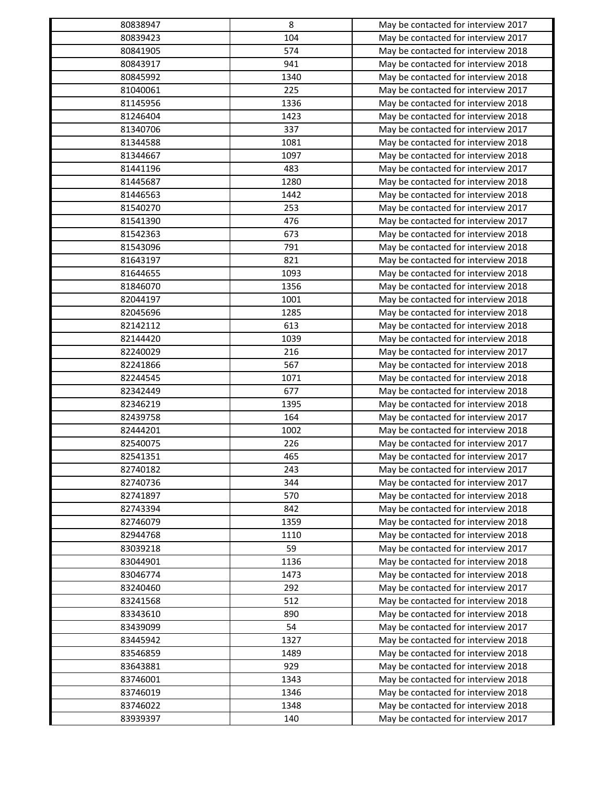| 80838947             | 8            | May be contacted for interview 2017 |
|----------------------|--------------|-------------------------------------|
| 80839423             | 104          | May be contacted for interview 2017 |
| 80841905             | 574          | May be contacted for interview 2018 |
| 80843917             | 941          | May be contacted for interview 2018 |
| 80845992             | 1340         | May be contacted for interview 2018 |
| 81040061             | 225          | May be contacted for interview 2017 |
| 81145956             | 1336         | May be contacted for interview 2018 |
| 81246404             | 1423         | May be contacted for interview 2018 |
| 81340706             | 337          | May be contacted for interview 2017 |
| 81344588             | 1081         | May be contacted for interview 2018 |
| 81344667             | 1097         | May be contacted for interview 2018 |
| 81441196             | 483          | May be contacted for interview 2017 |
| 81445687             | 1280         | May be contacted for interview 2018 |
| 81446563             | 1442         | May be contacted for interview 2018 |
| 81540270             | 253          | May be contacted for interview 2017 |
| 81541390             | 476          | May be contacted for interview 2017 |
| 81542363             | 673          | May be contacted for interview 2018 |
| 81543096             | 791          | May be contacted for interview 2018 |
| 81643197             | 821          | May be contacted for interview 2018 |
| 81644655             | 1093         | May be contacted for interview 2018 |
| 81846070             | 1356         | May be contacted for interview 2018 |
| 82044197             | 1001         | May be contacted for interview 2018 |
| 82045696             | 1285         | May be contacted for interview 2018 |
| 82142112             | 613          | May be contacted for interview 2018 |
| 82144420             | 1039         | May be contacted for interview 2018 |
| 82240029             | 216          | May be contacted for interview 2017 |
| 82241866             | 567          | May be contacted for interview 2018 |
| 82244545             | 1071         | May be contacted for interview 2018 |
| 82342449             | 677          | May be contacted for interview 2018 |
| 82346219             | 1395         | May be contacted for interview 2018 |
| 82439758             | 164          | May be contacted for interview 2017 |
| 82444201             | 1002         | May be contacted for interview 2018 |
| 82540075             | 226          | May be contacted for interview 2017 |
| 82541351             | 465          | May be contacted for interview 2017 |
| 82740182             | 243          | May be contacted for interview 2017 |
| 82740736             | 344          | May be contacted for interview 2017 |
| 82741897             | 570          | May be contacted for interview 2018 |
|                      | 842          | May be contacted for interview 2018 |
| 82743394<br>82746079 |              | May be contacted for interview 2018 |
| 82944768             | 1359<br>1110 | May be contacted for interview 2018 |
|                      | 59           |                                     |
| 83039218<br>83044901 | 1136         | May be contacted for interview 2017 |
|                      |              | May be contacted for interview 2018 |
| 83046774             | 1473         | May be contacted for interview 2018 |
| 83240460             | 292          | May be contacted for interview 2017 |
| 83241568             | 512          | May be contacted for interview 2018 |
| 83343610             | 890          | May be contacted for interview 2018 |
| 83439099             | 54           | May be contacted for interview 2017 |
| 83445942             | 1327         | May be contacted for interview 2018 |
| 83546859             | 1489         | May be contacted for interview 2018 |
| 83643881             | 929          | May be contacted for interview 2018 |
| 83746001             | 1343         | May be contacted for interview 2018 |
| 83746019             | 1346         | May be contacted for interview 2018 |
| 83746022             | 1348         | May be contacted for interview 2018 |
| 83939397             | 140          | May be contacted for interview 2017 |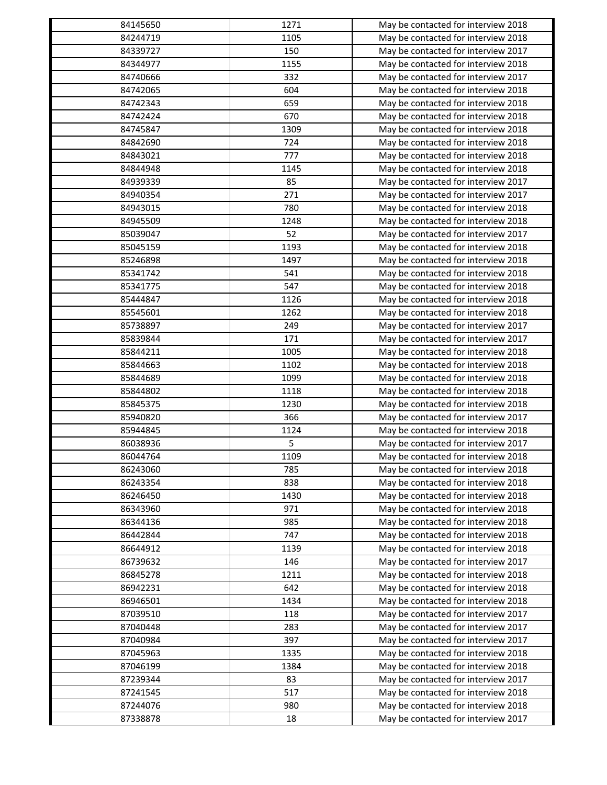| 84145650 | 1271 | May be contacted for interview 2018 |
|----------|------|-------------------------------------|
| 84244719 | 1105 | May be contacted for interview 2018 |
| 84339727 | 150  | May be contacted for interview 2017 |
| 84344977 | 1155 | May be contacted for interview 2018 |
| 84740666 | 332  | May be contacted for interview 2017 |
| 84742065 | 604  | May be contacted for interview 2018 |
| 84742343 | 659  | May be contacted for interview 2018 |
| 84742424 | 670  | May be contacted for interview 2018 |
| 84745847 | 1309 | May be contacted for interview 2018 |
| 84842690 | 724  | May be contacted for interview 2018 |
| 84843021 | 777  | May be contacted for interview 2018 |
| 84844948 | 1145 | May be contacted for interview 2018 |
| 84939339 | 85   | May be contacted for interview 2017 |
| 84940354 | 271  | May be contacted for interview 2017 |
| 84943015 | 780  | May be contacted for interview 2018 |
| 84945509 | 1248 | May be contacted for interview 2018 |
| 85039047 | 52   | May be contacted for interview 2017 |
| 85045159 | 1193 | May be contacted for interview 2018 |
| 85246898 | 1497 | May be contacted for interview 2018 |
| 85341742 | 541  | May be contacted for interview 2018 |
| 85341775 | 547  | May be contacted for interview 2018 |
| 85444847 | 1126 | May be contacted for interview 2018 |
| 85545601 | 1262 | May be contacted for interview 2018 |
| 85738897 | 249  | May be contacted for interview 2017 |
| 85839844 | 171  | May be contacted for interview 2017 |
| 85844211 | 1005 | May be contacted for interview 2018 |
| 85844663 | 1102 | May be contacted for interview 2018 |
| 85844689 | 1099 | May be contacted for interview 2018 |
| 85844802 | 1118 | May be contacted for interview 2018 |
| 85845375 | 1230 | May be contacted for interview 2018 |
| 85940820 | 366  | May be contacted for interview 2017 |
| 85944845 | 1124 | May be contacted for interview 2018 |
| 86038936 | 5    | May be contacted for interview 2017 |
| 86044764 | 1109 | May be contacted for interview 2018 |
| 86243060 | 785  | May be contacted for interview 2018 |
| 86243354 |      |                                     |
|          | 838  | May be contacted for interview 2018 |
| 86246450 | 1430 | May be contacted for interview 2018 |
| 86343960 | 971  | May be contacted for interview 2018 |
| 86344136 | 985  | May be contacted for interview 2018 |
| 86442844 | 747  | May be contacted for interview 2018 |
| 86644912 | 1139 | May be contacted for interview 2018 |
| 86739632 | 146  | May be contacted for interview 2017 |
| 86845278 | 1211 | May be contacted for interview 2018 |
| 86942231 | 642  | May be contacted for interview 2018 |
| 86946501 | 1434 | May be contacted for interview 2018 |
| 87039510 | 118  | May be contacted for interview 2017 |
| 87040448 | 283  | May be contacted for interview 2017 |
| 87040984 | 397  | May be contacted for interview 2017 |
| 87045963 | 1335 | May be contacted for interview 2018 |
| 87046199 | 1384 | May be contacted for interview 2018 |
| 87239344 | 83   | May be contacted for interview 2017 |
| 87241545 | 517  | May be contacted for interview 2018 |
| 87244076 | 980  | May be contacted for interview 2018 |
| 87338878 | 18   | May be contacted for interview 2017 |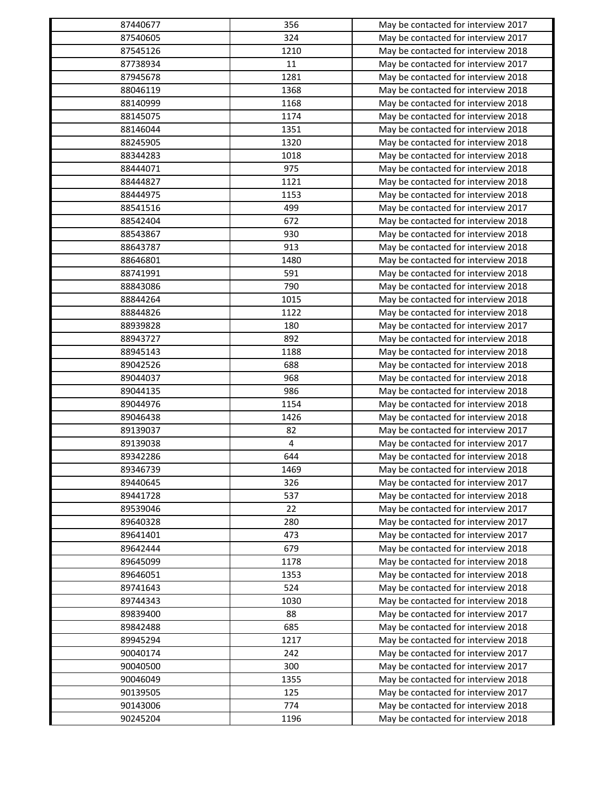| 87440677 | 356  | May be contacted for interview 2017 |
|----------|------|-------------------------------------|
| 87540605 | 324  | May be contacted for interview 2017 |
| 87545126 | 1210 | May be contacted for interview 2018 |
| 87738934 | 11   | May be contacted for interview 2017 |
| 87945678 | 1281 | May be contacted for interview 2018 |
| 88046119 | 1368 | May be contacted for interview 2018 |
| 88140999 | 1168 | May be contacted for interview 2018 |
| 88145075 | 1174 | May be contacted for interview 2018 |
| 88146044 | 1351 | May be contacted for interview 2018 |
| 88245905 | 1320 | May be contacted for interview 2018 |
| 88344283 | 1018 | May be contacted for interview 2018 |
| 88444071 | 975  | May be contacted for interview 2018 |
| 88444827 | 1121 | May be contacted for interview 2018 |
| 88444975 | 1153 | May be contacted for interview 2018 |
| 88541516 | 499  | May be contacted for interview 2017 |
| 88542404 | 672  | May be contacted for interview 2018 |
| 88543867 | 930  | May be contacted for interview 2018 |
| 88643787 | 913  | May be contacted for interview 2018 |
| 88646801 | 1480 | May be contacted for interview 2018 |
| 88741991 | 591  | May be contacted for interview 2018 |
| 88843086 | 790  | May be contacted for interview 2018 |
| 88844264 | 1015 | May be contacted for interview 2018 |
| 88844826 | 1122 | May be contacted for interview 2018 |
| 88939828 | 180  | May be contacted for interview 2017 |
| 88943727 | 892  | May be contacted for interview 2018 |
| 88945143 | 1188 | May be contacted for interview 2018 |
| 89042526 | 688  | May be contacted for interview 2018 |
| 89044037 | 968  | May be contacted for interview 2018 |
| 89044135 | 986  | May be contacted for interview 2018 |
| 89044976 | 1154 | May be contacted for interview 2018 |
| 89046438 | 1426 | May be contacted for interview 2018 |
| 89139037 | 82   | May be contacted for interview 2017 |
| 89139038 | 4    | May be contacted for interview 2017 |
|          | 644  |                                     |
| 89342286 | 1469 | May be contacted for interview 2018 |
| 89346739 |      | May be contacted for interview 2018 |
| 89440645 | 326  | May be contacted for interview 2017 |
| 89441728 | 537  | May be contacted for interview 2018 |
| 89539046 | 22   | May be contacted for interview 2017 |
| 89640328 | 280  | May be contacted for interview 2017 |
| 89641401 | 473  | May be contacted for interview 2017 |
| 89642444 | 679  | May be contacted for interview 2018 |
| 89645099 | 1178 | May be contacted for interview 2018 |
| 89646051 | 1353 | May be contacted for interview 2018 |
| 89741643 | 524  | May be contacted for interview 2018 |
| 89744343 | 1030 | May be contacted for interview 2018 |
| 89839400 | 88   | May be contacted for interview 2017 |
| 89842488 | 685  | May be contacted for interview 2018 |
| 89945294 | 1217 | May be contacted for interview 2018 |
| 90040174 | 242  | May be contacted for interview 2017 |
| 90040500 | 300  | May be contacted for interview 2017 |
| 90046049 | 1355 | May be contacted for interview 2018 |
| 90139505 | 125  | May be contacted for interview 2017 |
| 90143006 | 774  | May be contacted for interview 2018 |
| 90245204 | 1196 | May be contacted for interview 2018 |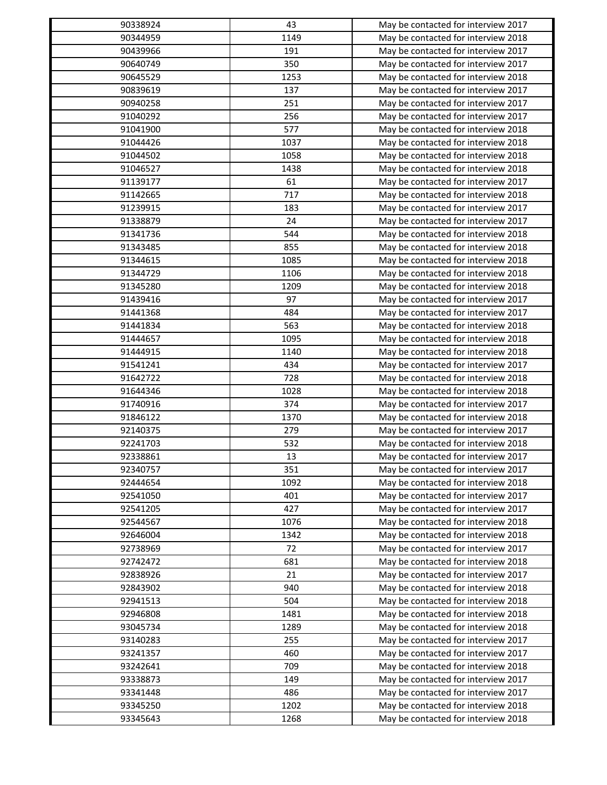| 90338924 | 43        | May be contacted for interview 2017 |
|----------|-----------|-------------------------------------|
| 90344959 | 1149      | May be contacted for interview 2018 |
| 90439966 | 191       | May be contacted for interview 2017 |
| 90640749 | 350       | May be contacted for interview 2017 |
| 90645529 | 1253      | May be contacted for interview 2018 |
| 90839619 | 137       | May be contacted for interview 2017 |
| 90940258 | 251       | May be contacted for interview 2017 |
| 91040292 | 256       | May be contacted for interview 2017 |
| 91041900 | 577       | May be contacted for interview 2018 |
| 91044426 | 1037      | May be contacted for interview 2018 |
| 91044502 | 1058      | May be contacted for interview 2018 |
| 91046527 | 1438      | May be contacted for interview 2018 |
| 91139177 | 61        | May be contacted for interview 2017 |
| 91142665 | 717       | May be contacted for interview 2018 |
| 91239915 | 183       | May be contacted for interview 2017 |
| 91338879 | 24        | May be contacted for interview 2017 |
| 91341736 | 544       | May be contacted for interview 2018 |
| 91343485 | 855       | May be contacted for interview 2018 |
| 91344615 | 1085      | May be contacted for interview 2018 |
| 91344729 | 1106      | May be contacted for interview 2018 |
| 91345280 | 1209      | May be contacted for interview 2018 |
| 91439416 | 97        | May be contacted for interview 2017 |
| 91441368 | 484       | May be contacted for interview 2017 |
| 91441834 | 563       | May be contacted for interview 2018 |
| 91444657 | 1095      | May be contacted for interview 2018 |
| 91444915 | 1140      | May be contacted for interview 2018 |
| 91541241 | 434       | May be contacted for interview 2017 |
| 91642722 | 728       | May be contacted for interview 2018 |
| 91644346 | 1028      | May be contacted for interview 2018 |
| 91740916 | 374       | May be contacted for interview 2017 |
| 91846122 | 1370      | May be contacted for interview 2018 |
| 92140375 | 279       | May be contacted for interview 2017 |
| 92241703 | 532       | May be contacted for interview 2018 |
|          |           |                                     |
| 92338861 | 13<br>351 | May be contacted for interview 2017 |
| 92340757 |           | May be contacted for interview 2017 |
| 92444654 | 1092      | May be contacted for interview 2018 |
| 92541050 | 401       | May be contacted for interview 2017 |
| 92541205 | 427       | May be contacted for interview 2017 |
| 92544567 | 1076      | May be contacted for interview 2018 |
| 92646004 | 1342      | May be contacted for interview 2018 |
| 92738969 | 72        | May be contacted for interview 2017 |
| 92742472 | 681       | May be contacted for interview 2018 |
| 92838926 | 21        | May be contacted for interview 2017 |
| 92843902 | 940       | May be contacted for interview 2018 |
| 92941513 | 504       | May be contacted for interview 2018 |
| 92946808 | 1481      | May be contacted for interview 2018 |
| 93045734 | 1289      | May be contacted for interview 2018 |
| 93140283 | 255       | May be contacted for interview 2017 |
| 93241357 | 460       | May be contacted for interview 2017 |
| 93242641 | 709       | May be contacted for interview 2018 |
| 93338873 | 149       | May be contacted for interview 2017 |
| 93341448 | 486       | May be contacted for interview 2017 |
| 93345250 | 1202      | May be contacted for interview 2018 |
| 93345643 | 1268      | May be contacted for interview 2018 |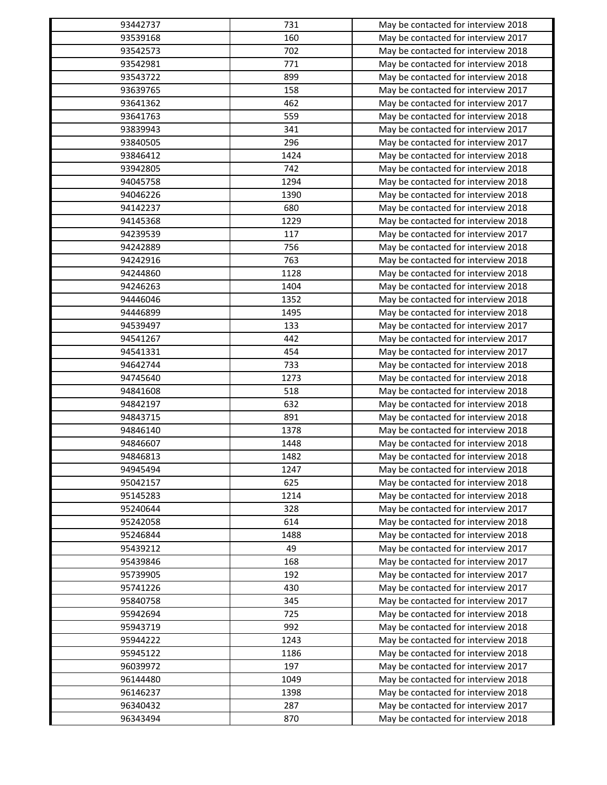| 93442737             | 731  | May be contacted for interview 2018 |
|----------------------|------|-------------------------------------|
| 93539168             | 160  | May be contacted for interview 2017 |
| 93542573             | 702  | May be contacted for interview 2018 |
| 93542981             | 771  | May be contacted for interview 2018 |
| 93543722             | 899  | May be contacted for interview 2018 |
| 93639765             | 158  | May be contacted for interview 2017 |
| 93641362             | 462  | May be contacted for interview 2017 |
| 93641763             | 559  | May be contacted for interview 2018 |
| 93839943             | 341  | May be contacted for interview 2017 |
| 93840505             | 296  | May be contacted for interview 2017 |
| 93846412             | 1424 | May be contacted for interview 2018 |
| 93942805             | 742  | May be contacted for interview 2018 |
| 94045758             | 1294 | May be contacted for interview 2018 |
| 94046226             | 1390 | May be contacted for interview 2018 |
| 94142237             | 680  | May be contacted for interview 2018 |
| 94145368             | 1229 | May be contacted for interview 2018 |
| 94239539             | 117  | May be contacted for interview 2017 |
| 94242889             | 756  | May be contacted for interview 2018 |
| 94242916             | 763  | May be contacted for interview 2018 |
| 94244860             | 1128 | May be contacted for interview 2018 |
| 94246263             | 1404 | May be contacted for interview 2018 |
| 94446046             | 1352 | May be contacted for interview 2018 |
| 94446899             | 1495 | May be contacted for interview 2018 |
| 94539497             | 133  | May be contacted for interview 2017 |
| 94541267             | 442  | May be contacted for interview 2017 |
| 94541331             | 454  | May be contacted for interview 2017 |
| 94642744             | 733  | May be contacted for interview 2018 |
| 94745640             | 1273 | May be contacted for interview 2018 |
| 94841608             | 518  | May be contacted for interview 2018 |
| 94842197             | 632  | May be contacted for interview 2018 |
| 94843715             | 891  | May be contacted for interview 2018 |
| 94846140             | 1378 | May be contacted for interview 2018 |
| 94846607             | 1448 | May be contacted for interview 2018 |
| 94846813             | 1482 | May be contacted for interview 2018 |
| 94945494             | 1247 | May be contacted for interview 2018 |
| 95042157             | 625  | May be contacted for interview 2018 |
| 95145283             | 1214 | May be contacted for interview 2018 |
| 95240644             | 328  | May be contacted for interview 2017 |
| 95242058             | 614  | May be contacted for interview 2018 |
| 95246844             | 1488 | May be contacted for interview 2018 |
| 95439212             | 49   | May be contacted for interview 2017 |
| 95439846             | 168  |                                     |
|                      |      | May be contacted for interview 2017 |
| 95739905<br>95741226 | 192  | May be contacted for interview 2017 |
|                      | 430  | May be contacted for interview 2017 |
| 95840758             | 345  | May be contacted for interview 2017 |
| 95942694             | 725  | May be contacted for interview 2018 |
| 95943719             | 992  | May be contacted for interview 2018 |
| 95944222             | 1243 | May be contacted for interview 2018 |
| 95945122             | 1186 | May be contacted for interview 2018 |
| 96039972             | 197  | May be contacted for interview 2017 |
| 96144480             | 1049 | May be contacted for interview 2018 |
| 96146237             | 1398 | May be contacted for interview 2018 |
| 96340432             | 287  | May be contacted for interview 2017 |
| 96343494             | 870  | May be contacted for interview 2018 |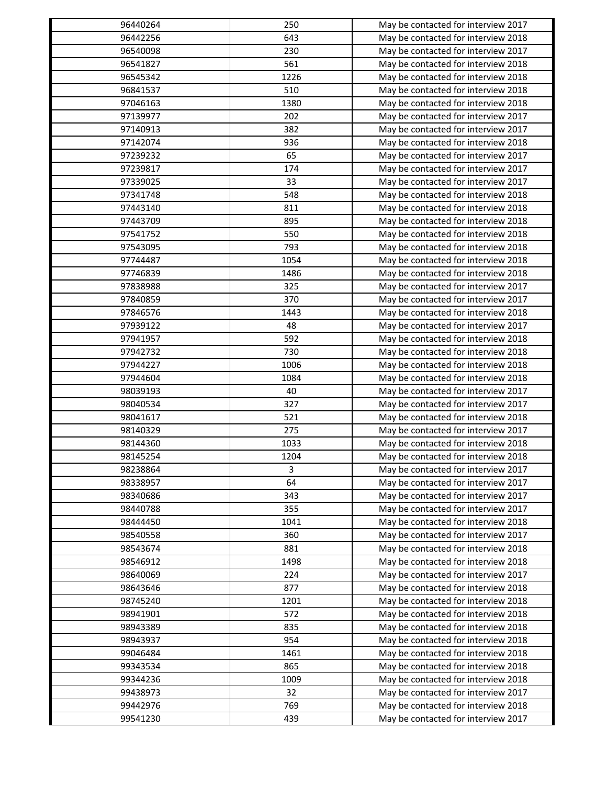| 96440264 | 250  | May be contacted for interview 2017 |
|----------|------|-------------------------------------|
| 96442256 | 643  | May be contacted for interview 2018 |
| 96540098 | 230  | May be contacted for interview 2017 |
| 96541827 | 561  | May be contacted for interview 2018 |
| 96545342 | 1226 | May be contacted for interview 2018 |
| 96841537 | 510  | May be contacted for interview 2018 |
| 97046163 | 1380 | May be contacted for interview 2018 |
| 97139977 | 202  | May be contacted for interview 2017 |
| 97140913 | 382  | May be contacted for interview 2017 |
| 97142074 | 936  | May be contacted for interview 2018 |
| 97239232 | 65   | May be contacted for interview 2017 |
| 97239817 | 174  | May be contacted for interview 2017 |
| 97339025 | 33   | May be contacted for interview 2017 |
| 97341748 | 548  | May be contacted for interview 2018 |
| 97443140 | 811  | May be contacted for interview 2018 |
| 97443709 | 895  | May be contacted for interview 2018 |
| 97541752 | 550  | May be contacted for interview 2018 |
| 97543095 | 793  | May be contacted for interview 2018 |
| 97744487 | 1054 | May be contacted for interview 2018 |
| 97746839 | 1486 | May be contacted for interview 2018 |
| 97838988 | 325  | May be contacted for interview 2017 |
| 97840859 | 370  | May be contacted for interview 2017 |
| 97846576 | 1443 | May be contacted for interview 2018 |
| 97939122 | 48   | May be contacted for interview 2017 |
| 97941957 | 592  | May be contacted for interview 2018 |
| 97942732 | 730  | May be contacted for interview 2018 |
| 97944227 | 1006 | May be contacted for interview 2018 |
| 97944604 | 1084 | May be contacted for interview 2018 |
| 98039193 | 40   | May be contacted for interview 2017 |
| 98040534 | 327  | May be contacted for interview 2017 |
| 98041617 | 521  | May be contacted for interview 2018 |
| 98140329 | 275  | May be contacted for interview 2017 |
| 98144360 | 1033 | May be contacted for interview 2018 |
| 98145254 | 1204 | May be contacted for interview 2018 |
| 98238864 | 3    | May be contacted for interview 2017 |
| 98338957 | 64   | May be contacted for interview 2017 |
| 98340686 | 343  | May be contacted for interview 2017 |
| 98440788 | 355  | May be contacted for interview 2017 |
| 98444450 |      | May be contacted for interview 2018 |
|          | 1041 |                                     |
| 98540558 | 360  | May be contacted for interview 2017 |
| 98543674 | 881  | May be contacted for interview 2018 |
| 98546912 | 1498 | May be contacted for interview 2018 |
| 98640069 | 224  | May be contacted for interview 2017 |
| 98643646 | 877  | May be contacted for interview 2018 |
| 98745240 | 1201 | May be contacted for interview 2018 |
| 98941901 | 572  | May be contacted for interview 2018 |
| 98943389 | 835  | May be contacted for interview 2018 |
| 98943937 | 954  | May be contacted for interview 2018 |
| 99046484 | 1461 | May be contacted for interview 2018 |
| 99343534 | 865  | May be contacted for interview 2018 |
| 99344236 | 1009 | May be contacted for interview 2018 |
| 99438973 | 32   | May be contacted for interview 2017 |
| 99442976 | 769  | May be contacted for interview 2018 |
| 99541230 | 439  | May be contacted for interview 2017 |